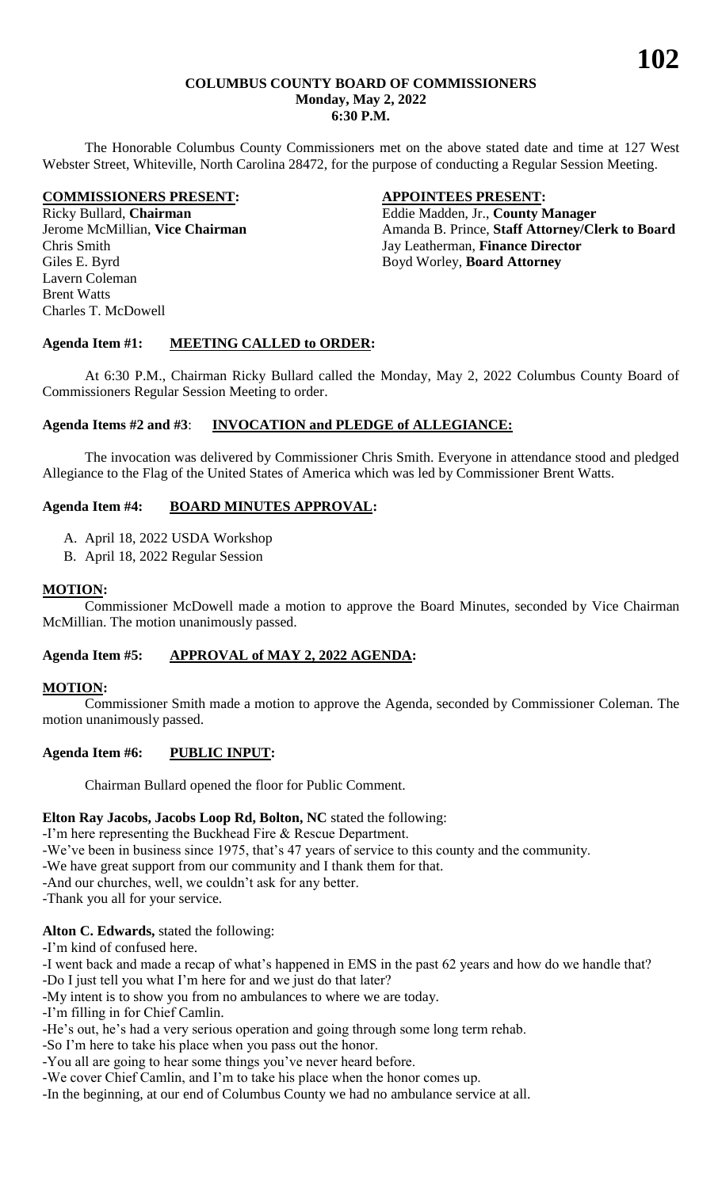#### **COLUMBUS COUNTY BOARD OF COMMISSIONERS Monday, May 2, 2022 6:30 P.M.**

The Honorable Columbus County Commissioners met on the above stated date and time at 127 West Webster Street, Whiteville, North Carolina 28472, for the purpose of conducting a Regular Session Meeting.

#### **COMMISSIONERS PRESENT: APPOINTEES PRESENT:**

Chris Smith Jay Leatherman, **Finance Director** Giles E. Byrd **Boyd Worley**, **Board Attorney** Lavern Coleman Brent Watts Charles T. McDowell

Ricky Bullard, **Chairman** Eddie Madden, Jr., **County Manager** Jerome McMillian, Vice Chairman Amanda B. Prince, Staff Attorney/Clerk to Board

#### **Agenda Item #1: MEETING CALLED to ORDER:**

At 6:30 P.M., Chairman Ricky Bullard called the Monday, May 2, 2022 Columbus County Board of Commissioners Regular Session Meeting to order.

#### **Agenda Items #2 and #3**: **INVOCATION and PLEDGE of ALLEGIANCE:**

The invocation was delivered by Commissioner Chris Smith. Everyone in attendance stood and pledged Allegiance to the Flag of the United States of America which was led by Commissioner Brent Watts.

#### **Agenda Item #4: BOARD MINUTES APPROVAL:**

- A. April 18, 2022 USDA Workshop
- B. April 18, 2022 Regular Session

#### **MOTION:**

Commissioner McDowell made a motion to approve the Board Minutes, seconded by Vice Chairman McMillian. The motion unanimously passed.

#### **Agenda Item #5: APPROVAL of MAY 2, 2022 AGENDA:**

#### **MOTION:**

Commissioner Smith made a motion to approve the Agenda, seconded by Commissioner Coleman. The motion unanimously passed.

#### **Agenda Item #6: PUBLIC INPUT:**

Chairman Bullard opened the floor for Public Comment.

#### **Elton Ray Jacobs, Jacobs Loop Rd, Bolton, NC** stated the following:

-I'm here representing the Buckhead Fire & Rescue Department.

-We've been in business since 1975, that's 47 years of service to this county and the community.

-We have great support from our community and I thank them for that.

-And our churches, well, we couldn't ask for any better.

-Thank you all for your service.

#### **Alton C. Edwards,** stated the following:

-I'm kind of confused here.

-I went back and made a recap of what's happened in EMS in the past 62 years and how do we handle that? -Do I just tell you what I'm here for and we just do that later?

-My intent is to show you from no ambulances to where we are today.

-I'm filling in for Chief Camlin.

-He's out, he's had a very serious operation and going through some long term rehab.

-So I'm here to take his place when you pass out the honor.

-You all are going to hear some things you've never heard before.

-We cover Chief Camlin, and I'm to take his place when the honor comes up.

-In the beginning, at our end of Columbus County we had no ambulance service at all.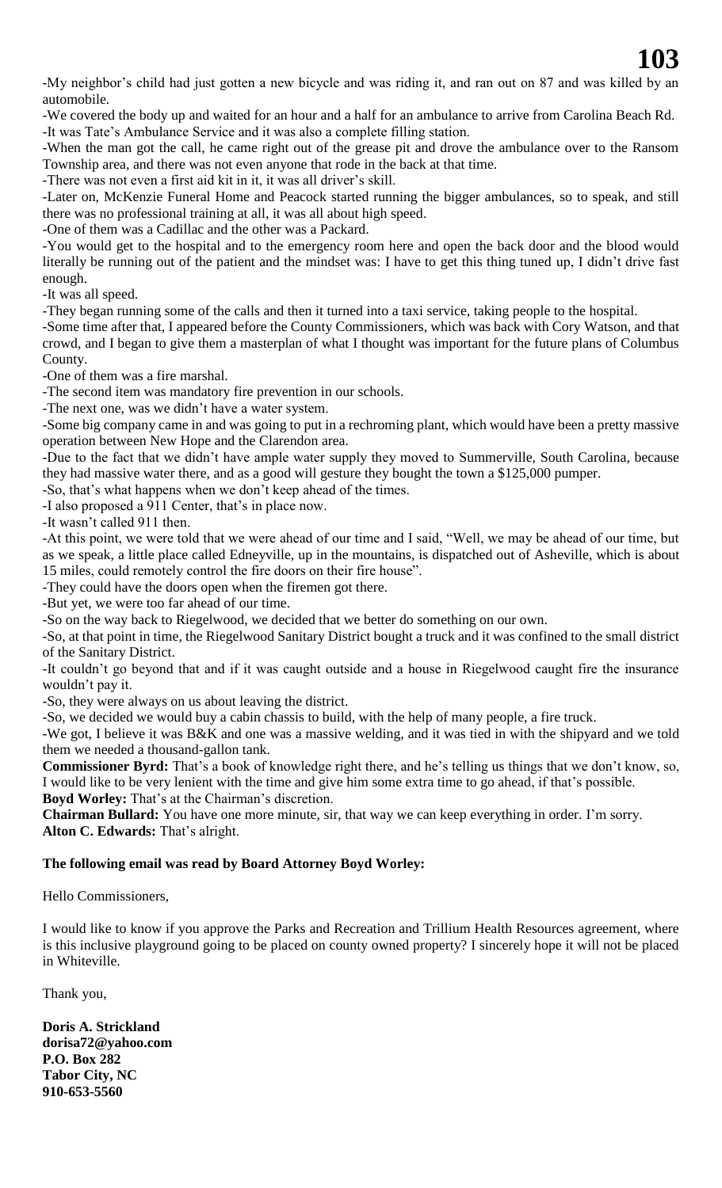-My neighbor's child had just gotten a new bicycle and was riding it, and ran out on 87 and was killed by an automobile.

-We covered the body up and waited for an hour and a half for an ambulance to arrive from Carolina Beach Rd. -It was Tate's Ambulance Service and it was also a complete filling station.

-When the man got the call, he came right out of the grease pit and drove the ambulance over to the Ransom Township area, and there was not even anyone that rode in the back at that time.

-There was not even a first aid kit in it, it was all driver's skill.

-Later on, McKenzie Funeral Home and Peacock started running the bigger ambulances, so to speak, and still there was no professional training at all, it was all about high speed.

-One of them was a Cadillac and the other was a Packard.

-You would get to the hospital and to the emergency room here and open the back door and the blood would literally be running out of the patient and the mindset was: I have to get this thing tuned up, I didn't drive fast enough.

-It was all speed.

-They began running some of the calls and then it turned into a taxi service, taking people to the hospital.

-Some time after that, I appeared before the County Commissioners, which was back with Cory Watson, and that crowd, and I began to give them a masterplan of what I thought was important for the future plans of Columbus County.

-One of them was a fire marshal.

-The second item was mandatory fire prevention in our schools.

-The next one, was we didn't have a water system.

-Some big company came in and was going to put in a rechroming plant, which would have been a pretty massive operation between New Hope and the Clarendon area.

-Due to the fact that we didn't have ample water supply they moved to Summerville, South Carolina, because they had massive water there, and as a good will gesture they bought the town a \$125,000 pumper.

-So, that's what happens when we don't keep ahead of the times.

-I also proposed a 911 Center, that's in place now.

-It wasn't called 911 then.

-At this point, we were told that we were ahead of our time and I said, "Well, we may be ahead of our time, but as we speak, a little place called Edneyville, up in the mountains, is dispatched out of Asheville, which is about 15 miles, could remotely control the fire doors on their fire house".

-They could have the doors open when the firemen got there.

-But yet, we were too far ahead of our time.

-So on the way back to Riegelwood, we decided that we better do something on our own.

-So, at that point in time, the Riegelwood Sanitary District bought a truck and it was confined to the small district of the Sanitary District.

-It couldn't go beyond that and if it was caught outside and a house in Riegelwood caught fire the insurance wouldn't pay it.

-So, they were always on us about leaving the district.

-So, we decided we would buy a cabin chassis to build, with the help of many people, a fire truck.

-We got, I believe it was B&K and one was a massive welding, and it was tied in with the shipyard and we told them we needed a thousand-gallon tank.

**Commissioner Byrd:** That's a book of knowledge right there, and he's telling us things that we don't know, so, I would like to be very lenient with the time and give him some extra time to go ahead, if that's possible.

**Boyd Worley:** That's at the Chairman's discretion.

**Chairman Bullard:** You have one more minute, sir, that way we can keep everything in order. I'm sorry. **Alton C. Edwards:** That's alright.

#### **The following email was read by Board Attorney Boyd Worley:**

Hello Commissioners,

I would like to know if you approve the Parks and Recreation and Trillium Health Resources agreement, where is this inclusive playground going to be placed on county owned property? I sincerely hope it will not be placed in Whiteville.

Thank you,

**Doris A. Strickland dorisa72@yahoo.com P.O. Box 282 Tabor City, NC 910-653-5560**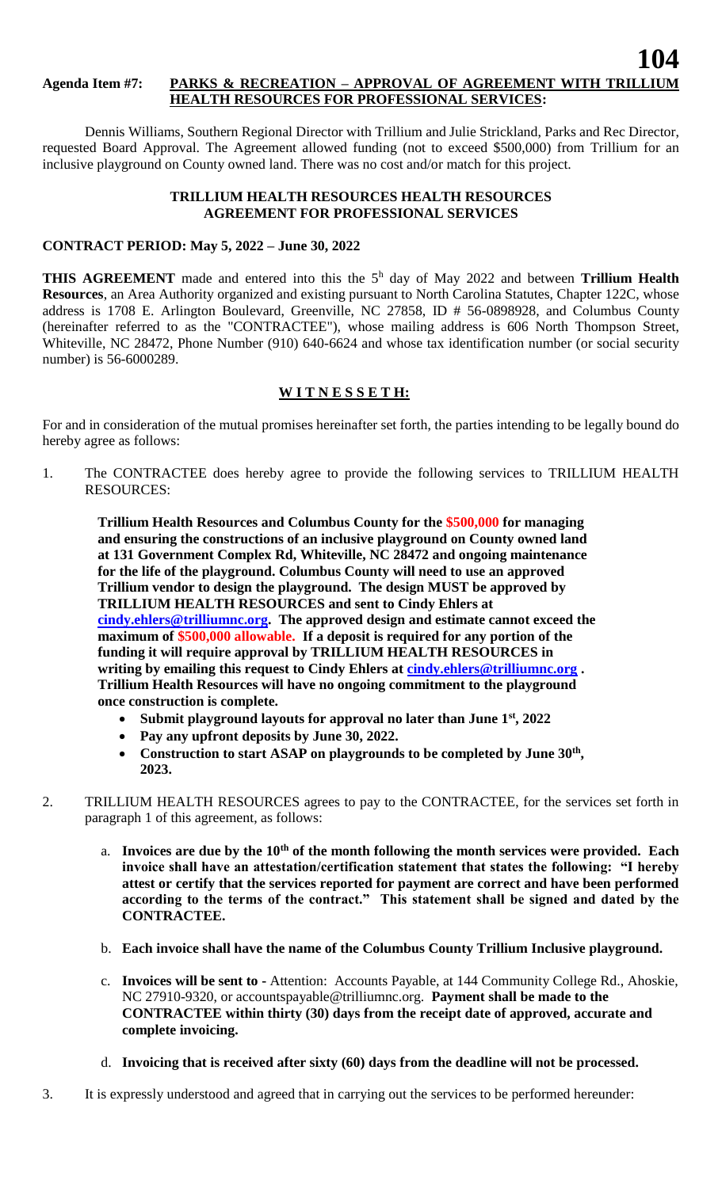### **104 Agenda Item #7: PARKS & RECREATION – APPROVAL OF AGREEMENT WITH TRILLIUM HEALTH RESOURCES FOR PROFESSIONAL SERVICES:**

Dennis Williams, Southern Regional Director with Trillium and Julie Strickland, Parks and Rec Director, requested Board Approval. The Agreement allowed funding (not to exceed \$500,000) from Trillium for an inclusive playground on County owned land. There was no cost and/or match for this project.

#### **TRILLIUM HEALTH RESOURCES HEALTH RESOURCES AGREEMENT FOR PROFESSIONAL SERVICES**

#### **CONTRACT PERIOD: May 5, 2022 – June 30, 2022**

**THIS AGREEMENT** made and entered into this the 5<sup>h</sup> day of May 2022 and between **Trillium Health Resources**, an Area Authority organized and existing pursuant to North Carolina Statutes, Chapter 122C, whose address is 1708 E. Arlington Boulevard, Greenville, NC 27858, ID # 56-0898928, and Columbus County (hereinafter referred to as the "CONTRACTEE"), whose mailing address is 606 North Thompson Street, Whiteville, NC 28472, Phone Number (910) 640-6624 and whose tax identification number (or social security number) is 56-6000289.

#### **W I T N E S S E T H:**

For and in consideration of the mutual promises hereinafter set forth, the parties intending to be legally bound do hereby agree as follows:

1. The CONTRACTEE does hereby agree to provide the following services to TRILLIUM HEALTH RESOURCES:

**Trillium Health Resources and Columbus County for the \$500,000 for managing and ensuring the constructions of an inclusive playground on County owned land at 131 Government Complex Rd, Whiteville, NC 28472 and ongoing maintenance for the life of the playground. Columbus County will need to use an approved Trillium vendor to design the playground. The design MUST be approved by TRILLIUM HEALTH RESOURCES and sent to Cindy Ehlers at [cindy.ehlers@trilliumnc.org.](mailto:cindy.ehlers@trilliumnc.org) The approved design and estimate cannot exceed the maximum of \$500,000 allowable. If a deposit is required for any portion of the funding it will require approval by TRILLIUM HEALTH RESOURCES in writing by emailing this request to Cindy Ehlers at [cindy.ehlers@trilliumnc.org](mailto:cindy.ehlers@trilliumnc.org) . Trillium Health Resources will have no ongoing commitment to the playground once construction is complete.**

- **Submit playground layouts for approval no later than June 1st, 2022**
- **Pay any upfront deposits by June 30, 2022.**
- **Construction to start ASAP on playgrounds to be completed by June 30th , 2023.**
- 2. TRILLIUM HEALTH RESOURCES agrees to pay to the CONTRACTEE, for the services set forth in paragraph 1 of this agreement, as follows:
	- a. **Invoices are due by the 10th of the month following the month services were provided. Each invoice shall have an attestation/certification statement that states the following: "I hereby attest or certify that the services reported for payment are correct and have been performed according to the terms of the contract." This statement shall be signed and dated by the CONTRACTEE.**
	- b. **Each invoice shall have the name of the Columbus County Trillium Inclusive playground.**
	- c. **Invoices will be sent to -** Attention: Accounts Payable, at 144 Community College Rd., Ahoskie, NC 27910-9320, or accountspayable@trilliumnc.org. **Payment shall be made to the CONTRACTEE within thirty (30) days from the receipt date of approved, accurate and complete invoicing.**
	- d. **Invoicing that is received after sixty (60) days from the deadline will not be processed.**
- 3. It is expressly understood and agreed that in carrying out the services to be performed hereunder: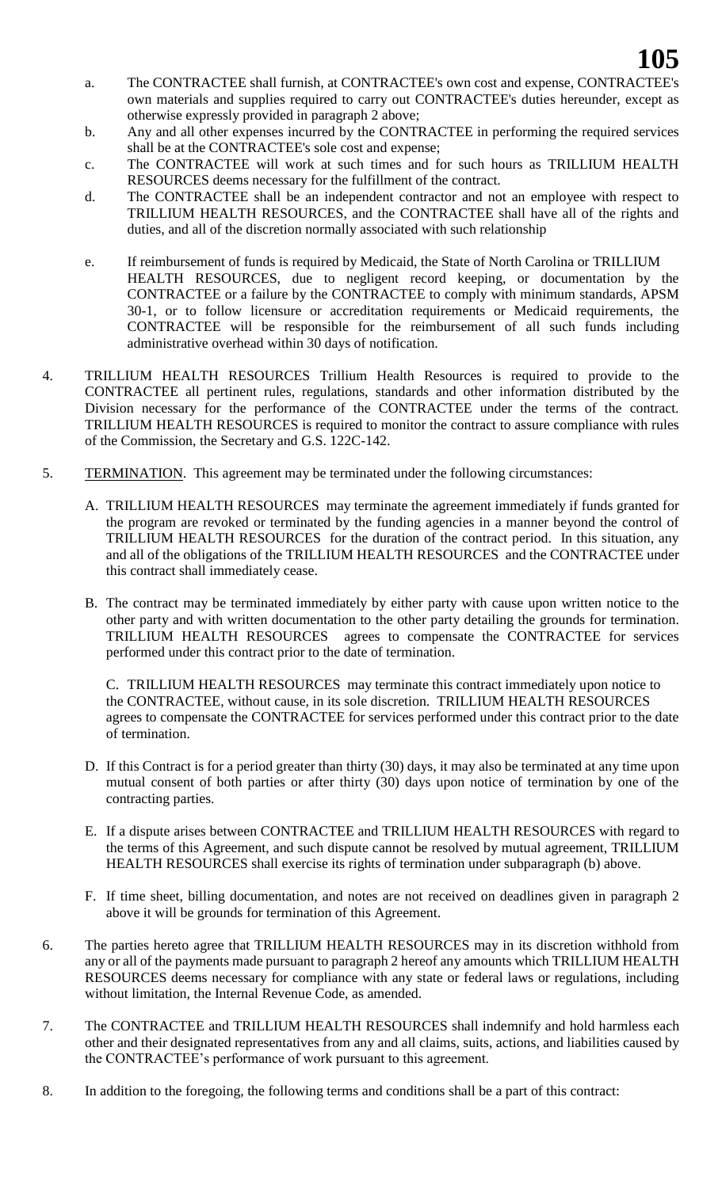- a. The CONTRACTEE shall furnish, at CONTRACTEE's own cost and expense, CONTRACTEE's own materials and supplies required to carry out CONTRACTEE's duties hereunder, except as otherwise expressly provided in paragraph 2 above;
- b. Any and all other expenses incurred by the CONTRACTEE in performing the required services shall be at the CONTRACTEE's sole cost and expense;
- c. The CONTRACTEE will work at such times and for such hours as TRILLIUM HEALTH RESOURCES deems necessary for the fulfillment of the contract.
- d. The CONTRACTEE shall be an independent contractor and not an employee with respect to TRILLIUM HEALTH RESOURCES, and the CONTRACTEE shall have all of the rights and duties, and all of the discretion normally associated with such relationship
- e. If reimbursement of funds is required by Medicaid, the State of North Carolina or TRILLIUM HEALTH RESOURCES, due to negligent record keeping, or documentation by the CONTRACTEE or a failure by the CONTRACTEE to comply with minimum standards, APSM 30-1, or to follow licensure or accreditation requirements or Medicaid requirements, the CONTRACTEE will be responsible for the reimbursement of all such funds including administrative overhead within 30 days of notification.
- 4. TRILLIUM HEALTH RESOURCES Trillium Health Resources is required to provide to the CONTRACTEE all pertinent rules, regulations, standards and other information distributed by the Division necessary for the performance of the CONTRACTEE under the terms of the contract. TRILLIUM HEALTH RESOURCES is required to monitor the contract to assure compliance with rules of the Commission, the Secretary and G.S. 122C-142.
- 5. TERMINATION. This agreement may be terminated under the following circumstances:
	- A. TRILLIUM HEALTH RESOURCES may terminate the agreement immediately if funds granted for the program are revoked or terminated by the funding agencies in a manner beyond the control of TRILLIUM HEALTH RESOURCES for the duration of the contract period. In this situation, any and all of the obligations of the TRILLIUM HEALTH RESOURCES and the CONTRACTEE under this contract shall immediately cease.
	- B. The contract may be terminated immediately by either party with cause upon written notice to the other party and with written documentation to the other party detailing the grounds for termination. TRILLIUM HEALTH RESOURCES agrees to compensate the CONTRACTEE for services performed under this contract prior to the date of termination.

C. TRILLIUM HEALTH RESOURCES may terminate this contract immediately upon notice to the CONTRACTEE, without cause, in its sole discretion. TRILLIUM HEALTH RESOURCES agrees to compensate the CONTRACTEE for services performed under this contract prior to the date of termination.

- D. If this Contract is for a period greater than thirty (30) days, it may also be terminated at any time upon mutual consent of both parties or after thirty (30) days upon notice of termination by one of the contracting parties.
- E. If a dispute arises between CONTRACTEE and TRILLIUM HEALTH RESOURCES with regard to the terms of this Agreement, and such dispute cannot be resolved by mutual agreement, TRILLIUM HEALTH RESOURCES shall exercise its rights of termination under subparagraph (b) above.
- F. If time sheet, billing documentation, and notes are not received on deadlines given in paragraph 2 above it will be grounds for termination of this Agreement.
- 6. The parties hereto agree that TRILLIUM HEALTH RESOURCES may in its discretion withhold from any or all of the payments made pursuant to paragraph 2 hereof any amounts which TRILLIUM HEALTH RESOURCES deems necessary for compliance with any state or federal laws or regulations, including without limitation, the Internal Revenue Code, as amended.
- 7. The CONTRACTEE and TRILLIUM HEALTH RESOURCES shall indemnify and hold harmless each other and their designated representatives from any and all claims, suits, actions, and liabilities caused by the CONTRACTEE's performance of work pursuant to this agreement.
- 8. In addition to the foregoing, the following terms and conditions shall be a part of this contract: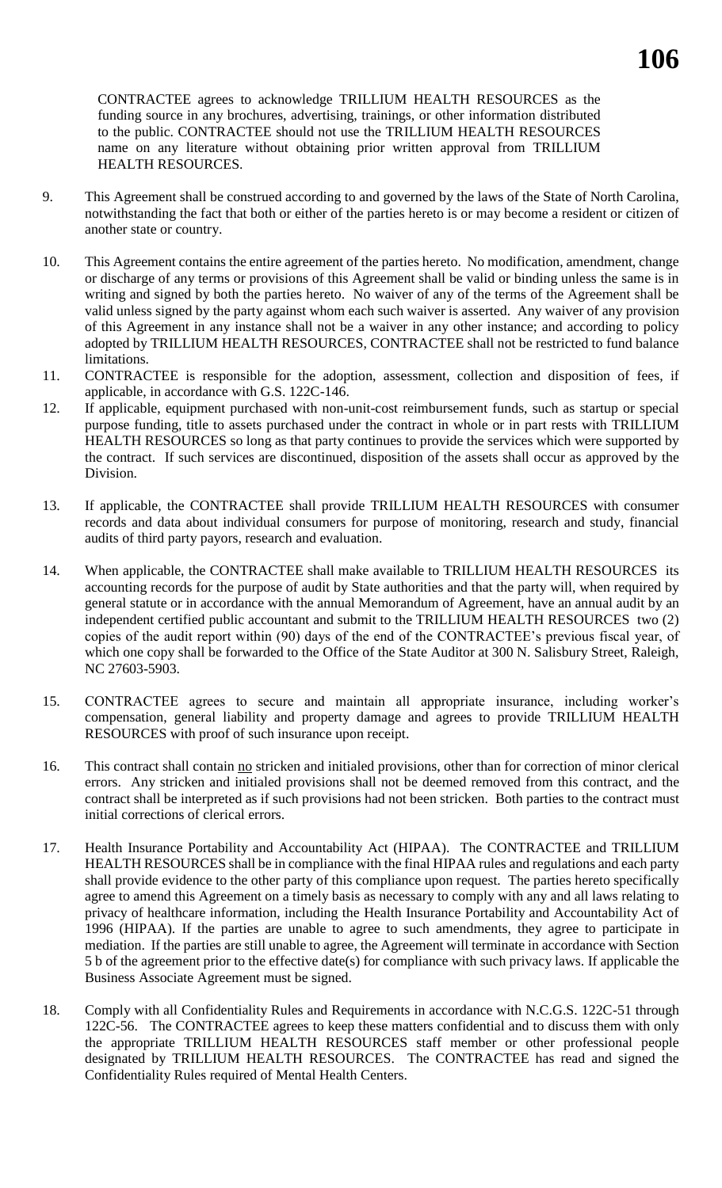CONTRACTEE agrees to acknowledge TRILLIUM HEALTH RESOURCES as the funding source in any brochures, advertising, trainings, or other information distributed to the public. CONTRACTEE should not use the TRILLIUM HEALTH RESOURCES name on any literature without obtaining prior written approval from TRILLIUM HEALTH RESOURCES.

- 9. This Agreement shall be construed according to and governed by the laws of the State of North Carolina, notwithstanding the fact that both or either of the parties hereto is or may become a resident or citizen of another state or country.
- 10. This Agreement contains the entire agreement of the parties hereto. No modification, amendment, change or discharge of any terms or provisions of this Agreement shall be valid or binding unless the same is in writing and signed by both the parties hereto. No waiver of any of the terms of the Agreement shall be valid unless signed by the party against whom each such waiver is asserted. Any waiver of any provision of this Agreement in any instance shall not be a waiver in any other instance; and according to policy adopted by TRILLIUM HEALTH RESOURCES, CONTRACTEE shall not be restricted to fund balance limitations.
- 11. CONTRACTEE is responsible for the adoption, assessment, collection and disposition of fees, if applicable, in accordance with G.S. 122C-146.
- 12. If applicable, equipment purchased with non-unit-cost reimbursement funds, such as startup or special purpose funding, title to assets purchased under the contract in whole or in part rests with TRILLIUM HEALTH RESOURCES so long as that party continues to provide the services which were supported by the contract. If such services are discontinued, disposition of the assets shall occur as approved by the Division.
- 13. If applicable, the CONTRACTEE shall provide TRILLIUM HEALTH RESOURCES with consumer records and data about individual consumers for purpose of monitoring, research and study, financial audits of third party payors, research and evaluation.
- 14. When applicable, the CONTRACTEE shall make available to TRILLIUM HEALTH RESOURCES its accounting records for the purpose of audit by State authorities and that the party will, when required by general statute or in accordance with the annual Memorandum of Agreement, have an annual audit by an independent certified public accountant and submit to the TRILLIUM HEALTH RESOURCES two (2) copies of the audit report within (90) days of the end of the CONTRACTEE's previous fiscal year, of which one copy shall be forwarded to the Office of the State Auditor at 300 N. Salisbury Street, Raleigh, NC 27603-5903.
- 15. CONTRACTEE agrees to secure and maintain all appropriate insurance, including worker's compensation, general liability and property damage and agrees to provide TRILLIUM HEALTH RESOURCES with proof of such insurance upon receipt.
- 16. This contract shall contain no stricken and initialed provisions, other than for correction of minor clerical errors. Any stricken and initialed provisions shall not be deemed removed from this contract, and the contract shall be interpreted as if such provisions had not been stricken. Both parties to the contract must initial corrections of clerical errors.
- 17. Health Insurance Portability and Accountability Act (HIPAA). The CONTRACTEE and TRILLIUM HEALTH RESOURCES shall be in compliance with the final HIPAA rules and regulations and each party shall provide evidence to the other party of this compliance upon request. The parties hereto specifically agree to amend this Agreement on a timely basis as necessary to comply with any and all laws relating to privacy of healthcare information, including the Health Insurance Portability and Accountability Act of 1996 (HIPAA). If the parties are unable to agree to such amendments, they agree to participate in mediation. If the parties are still unable to agree, the Agreement will terminate in accordance with Section 5 b of the agreement prior to the effective date(s) for compliance with such privacy laws. If applicable the Business Associate Agreement must be signed.
- 18. Comply with all Confidentiality Rules and Requirements in accordance with N.C.G.S. 122C-51 through 122C-56. The CONTRACTEE agrees to keep these matters confidential and to discuss them with only the appropriate TRILLIUM HEALTH RESOURCES staff member or other professional people designated by TRILLIUM HEALTH RESOURCES. The CONTRACTEE has read and signed the Confidentiality Rules required of Mental Health Centers.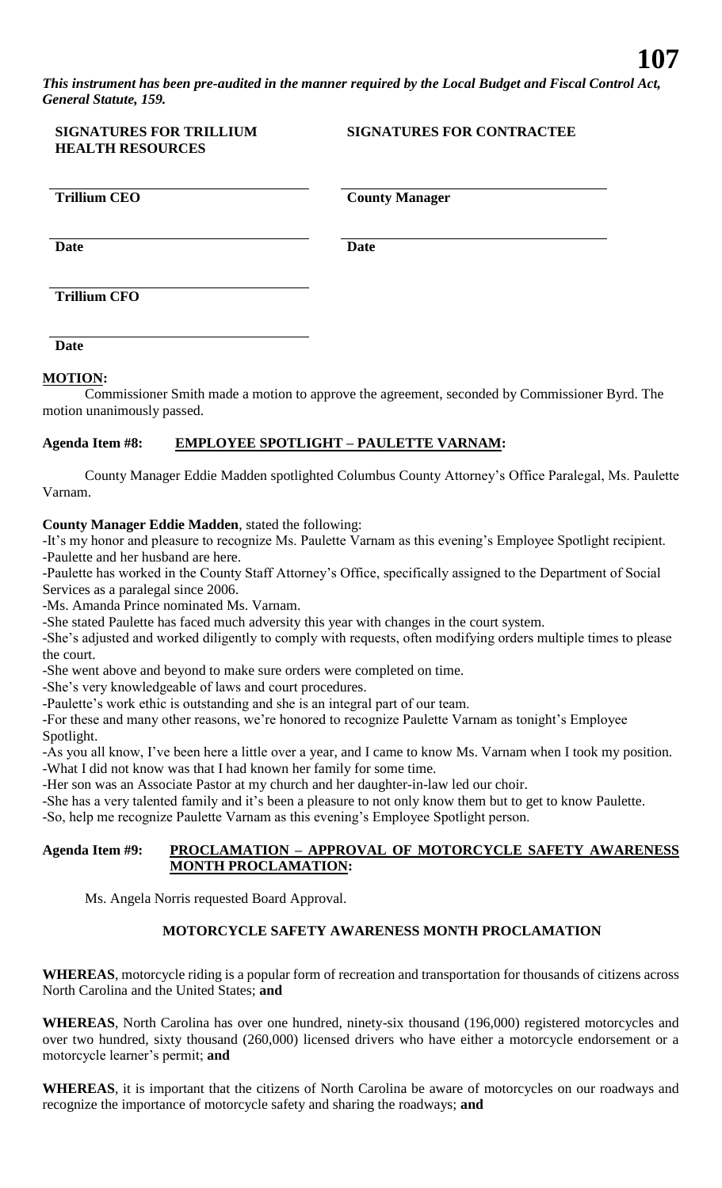*This instrument has been pre-audited in the manner required by the Local Budget and Fiscal Control Act, General Statute, 159.*

#### **SIGNATURES FOR TRILLIUM HEALTH RESOURCES**

#### **SIGNATURES FOR CONTRACTEE**

| <b>Trillium CEO</b> | <b>County Manager</b> |
|---------------------|-----------------------|
|                     |                       |
| <b>Date</b>         | <b>Date</b>           |
|                     |                       |
| <b>Trillium CFO</b> |                       |

**Date**

#### **MOTION:**

Commissioner Smith made a motion to approve the agreement, seconded by Commissioner Byrd. The motion unanimously passed.

#### **Agenda Item #8: EMPLOYEE SPOTLIGHT – PAULETTE VARNAM:**

County Manager Eddie Madden spotlighted Columbus County Attorney's Office Paralegal, Ms. Paulette Varnam.

#### **County Manager Eddie Madden**, stated the following:

-It's my honor and pleasure to recognize Ms. Paulette Varnam as this evening's Employee Spotlight recipient. -Paulette and her husband are here.

-Paulette has worked in the County Staff Attorney's Office, specifically assigned to the Department of Social Services as a paralegal since 2006.

-Ms. Amanda Prince nominated Ms. Varnam.

-She stated Paulette has faced much adversity this year with changes in the court system.

-She's adjusted and worked diligently to comply with requests, often modifying orders multiple times to please the court.

-She went above and beyond to make sure orders were completed on time.

-She's very knowledgeable of laws and court procedures.

-Paulette's work ethic is outstanding and she is an integral part of our team.

-For these and many other reasons, we're honored to recognize Paulette Varnam as tonight's Employee Spotlight.

-As you all know, I've been here a little over a year, and I came to know Ms. Varnam when I took my position. -What I did not know was that I had known her family for some time.

-Her son was an Associate Pastor at my church and her daughter-in-law led our choir.

-She has a very talented family and it's been a pleasure to not only know them but to get to know Paulette.

-So, help me recognize Paulette Varnam as this evening's Employee Spotlight person.

#### **Agenda Item #9: PROCLAMATION – APPROVAL OF MOTORCYCLE SAFETY AWARENESS MONTH PROCLAMATION:**

Ms. Angela Norris requested Board Approval.

#### **MOTORCYCLE SAFETY AWARENESS MONTH PROCLAMATION**

**WHEREAS**, motorcycle riding is a popular form of recreation and transportation for thousands of citizens across North Carolina and the United States; **and**

**WHEREAS**, North Carolina has over one hundred, ninety-six thousand (196,000) registered motorcycles and over two hundred, sixty thousand (260,000) licensed drivers who have either a motorcycle endorsement or a motorcycle learner's permit; **and**

**WHEREAS**, it is important that the citizens of North Carolina be aware of motorcycles on our roadways and recognize the importance of motorcycle safety and sharing the roadways; **and**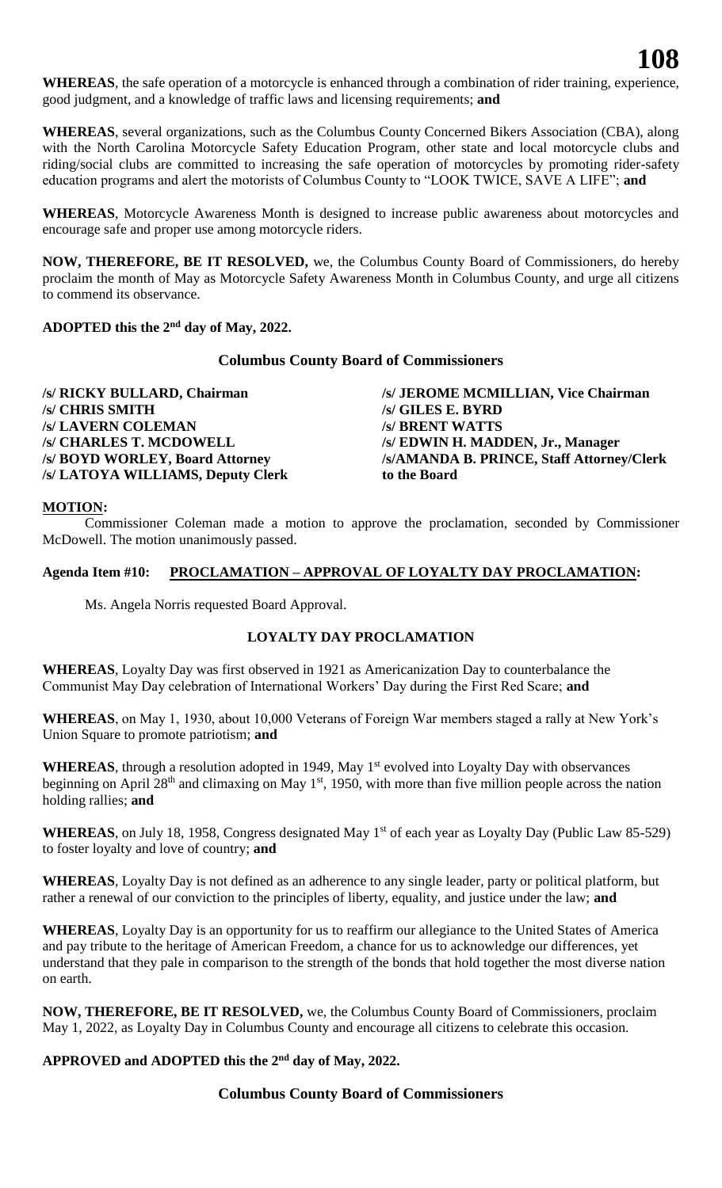**WHEREAS**, the safe operation of a motorcycle is enhanced through a combination of rider training, experience, good judgment, and a knowledge of traffic laws and licensing requirements; **and**

**WHEREAS**, several organizations, such as the Columbus County Concerned Bikers Association (CBA), along with the North Carolina Motorcycle Safety Education Program, other state and local motorcycle clubs and riding/social clubs are committed to increasing the safe operation of motorcycles by promoting rider-safety education programs and alert the motorists of Columbus County to "LOOK TWICE, SAVE A LIFE"; **and**

**WHEREAS**, Motorcycle Awareness Month is designed to increase public awareness about motorcycles and encourage safe and proper use among motorcycle riders.

**NOW, THEREFORE, BE IT RESOLVED,** we, the Columbus County Board of Commissioners, do hereby proclaim the month of May as Motorcycle Safety Awareness Month in Columbus County, and urge all citizens to commend its observance.

**ADOPTED this the 2nd day of May, 2022.**

#### **Columbus County Board of Commissioners**

**/s/ CHRIS SMITH /s/ GILES E. BYRD /s/ LAVERN COLEMAN /s/ BRENT WATTS /s/ CHARLES T. MCDOWELL /s/ EDWIN H. MADDEN, Jr., Manager /s/ LATOYA WILLIAMS, Deputy Clerk to the Board** 

**/s/ RICKY BULLARD, Chairman /s/ JEROME MCMILLIAN, Vice Chairman /s/ BOYD WORLEY, Board Attorney /s/AMANDA B. PRINCE, Staff Attorney/Clerk**

#### **MOTION:**

Commissioner Coleman made a motion to approve the proclamation, seconded by Commissioner McDowell. The motion unanimously passed.

#### **Agenda Item #10: PROCLAMATION – APPROVAL OF LOYALTY DAY PROCLAMATION:**

Ms. Angela Norris requested Board Approval.

#### **LOYALTY DAY PROCLAMATION**

**WHEREAS**, Loyalty Day was first observed in 1921 as Americanization Day to counterbalance the Communist May Day celebration of International Workers' Day during the First Red Scare; **and**

**WHEREAS**, on May 1, 1930, about 10,000 Veterans of Foreign War members staged a rally at New York's Union Square to promote patriotism; **and**

WHEREAS, through a resolution adopted in 1949, May 1<sup>st</sup> evolved into Loyalty Day with observances beginning on April 28<sup>th</sup> and climaxing on May 1<sup>st</sup>, 1950, with more than five million people across the nation holding rallies; **and**

**WHEREAS**, on July 18, 1958, Congress designated May 1<sup>st</sup> of each year as Loyalty Day (Public Law 85-529) to foster loyalty and love of country; **and**

**WHEREAS**, Loyalty Day is not defined as an adherence to any single leader, party or political platform, but rather a renewal of our conviction to the principles of liberty, equality, and justice under the law; **and**

**WHEREAS**, Loyalty Day is an opportunity for us to reaffirm our allegiance to the United States of America and pay tribute to the heritage of American Freedom, a chance for us to acknowledge our differences, yet understand that they pale in comparison to the strength of the bonds that hold together the most diverse nation on earth.

**NOW, THEREFORE, BE IT RESOLVED,** we, the Columbus County Board of Commissioners, proclaim May 1, 2022, as Loyalty Day in Columbus County and encourage all citizens to celebrate this occasion.

**APPROVED and ADOPTED this the 2nd day of May, 2022.**

#### **Columbus County Board of Commissioners**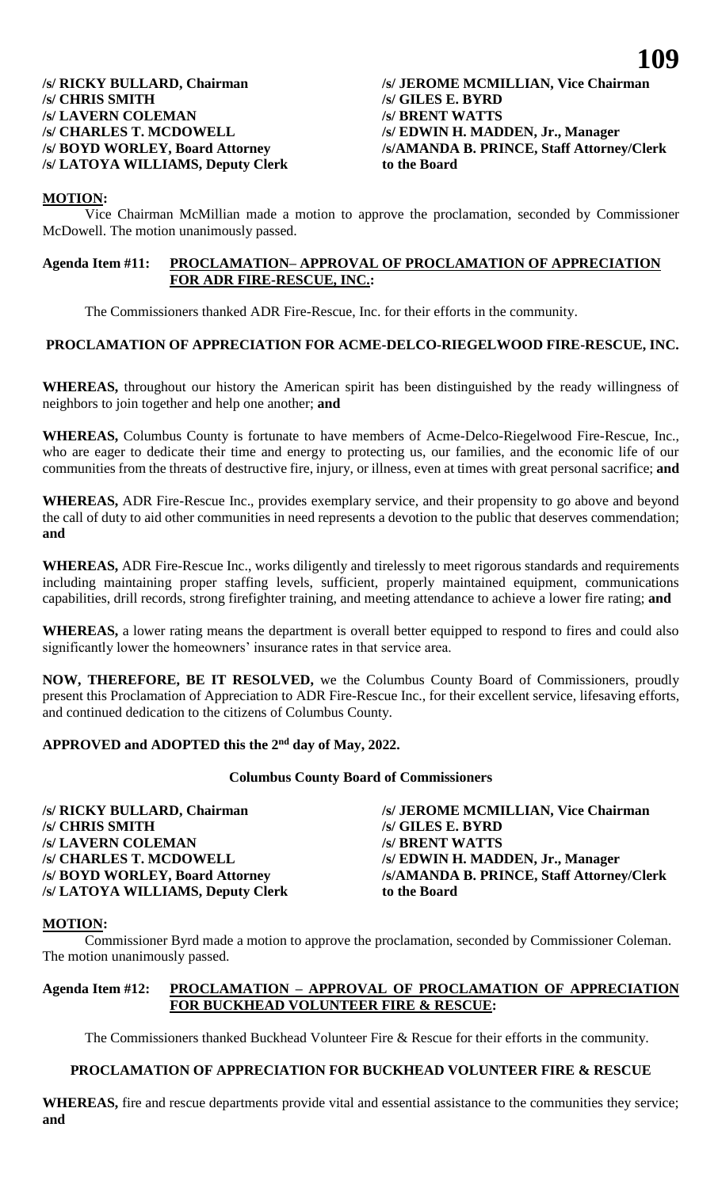**/s/ RICKY BULLARD, Chairman /s/ JEROME MCMILLIAN, Vice Chairman /s/ BOYD WORLEY, Board Attorney /s/AMANDA B. PRINCE, Staff Attorney/Clerk**

#### **MOTION:**

Vice Chairman McMillian made a motion to approve the proclamation, seconded by Commissioner McDowell. The motion unanimously passed.

#### **Agenda Item #11: PROCLAMATION– APPROVAL OF PROCLAMATION OF APPRECIATION FOR ADR FIRE-RESCUE, INC.:**

The Commissioners thanked ADR Fire-Rescue, Inc. for their efforts in the community.

#### **PROCLAMATION OF APPRECIATION FOR ACME-DELCO-RIEGELWOOD FIRE-RESCUE, INC.**

**WHEREAS,** throughout our history the American spirit has been distinguished by the ready willingness of neighbors to join together and help one another; **and**

**WHEREAS,** Columbus County is fortunate to have members of Acme-Delco-Riegelwood Fire-Rescue, Inc., who are eager to dedicate their time and energy to protecting us, our families, and the economic life of our communities from the threats of destructive fire, injury, or illness, even at times with great personal sacrifice; **and**

**WHEREAS,** ADR Fire-Rescue Inc., provides exemplary service, and their propensity to go above and beyond the call of duty to aid other communities in need represents a devotion to the public that deserves commendation; **and**

**WHEREAS,** ADR Fire-Rescue Inc., works diligently and tirelessly to meet rigorous standards and requirements including maintaining proper staffing levels, sufficient, properly maintained equipment, communications capabilities, drill records, strong firefighter training, and meeting attendance to achieve a lower fire rating; **and**

**WHEREAS,** a lower rating means the department is overall better equipped to respond to fires and could also significantly lower the homeowners' insurance rates in that service area.

**NOW, THEREFORE, BE IT RESOLVED,** we the Columbus County Board of Commissioners, proudly present this Proclamation of Appreciation to ADR Fire-Rescue Inc., for their excellent service, lifesaving efforts, and continued dedication to the citizens of Columbus County.

#### **APPROVED and ADOPTED this the 2nd day of May, 2022.**

#### **Columbus County Board of Commissioners**

**/s/ CHRIS SMITH /s/ GILES E. BYRD /s/ LAVERN COLEMAN /s/ BRENT WATTS /s/ CHARLES T. MCDOWELL /s/ EDWIN H. MADDEN, Jr., Manager /s/ LATOYA WILLIAMS, Deputy Clerk to the Board** 

**/s/ RICKY BULLARD, Chairman /s/ JEROME MCMILLIAN, Vice Chairman /s/ BOYD WORLEY, Board Attorney /s/AMANDA B. PRINCE, Staff Attorney/Clerk**

#### **MOTION:**

Commissioner Byrd made a motion to approve the proclamation, seconded by Commissioner Coleman. The motion unanimously passed.

#### **Agenda Item #12: PROCLAMATION – APPROVAL OF PROCLAMATION OF APPRECIATION FOR BUCKHEAD VOLUNTEER FIRE & RESCUE:**

The Commissioners thanked Buckhead Volunteer Fire & Rescue for their efforts in the community.

#### **PROCLAMATION OF APPRECIATION FOR BUCKHEAD VOLUNTEER FIRE & RESCUE**

**WHEREAS,** fire and rescue departments provide vital and essential assistance to the communities they service; **and**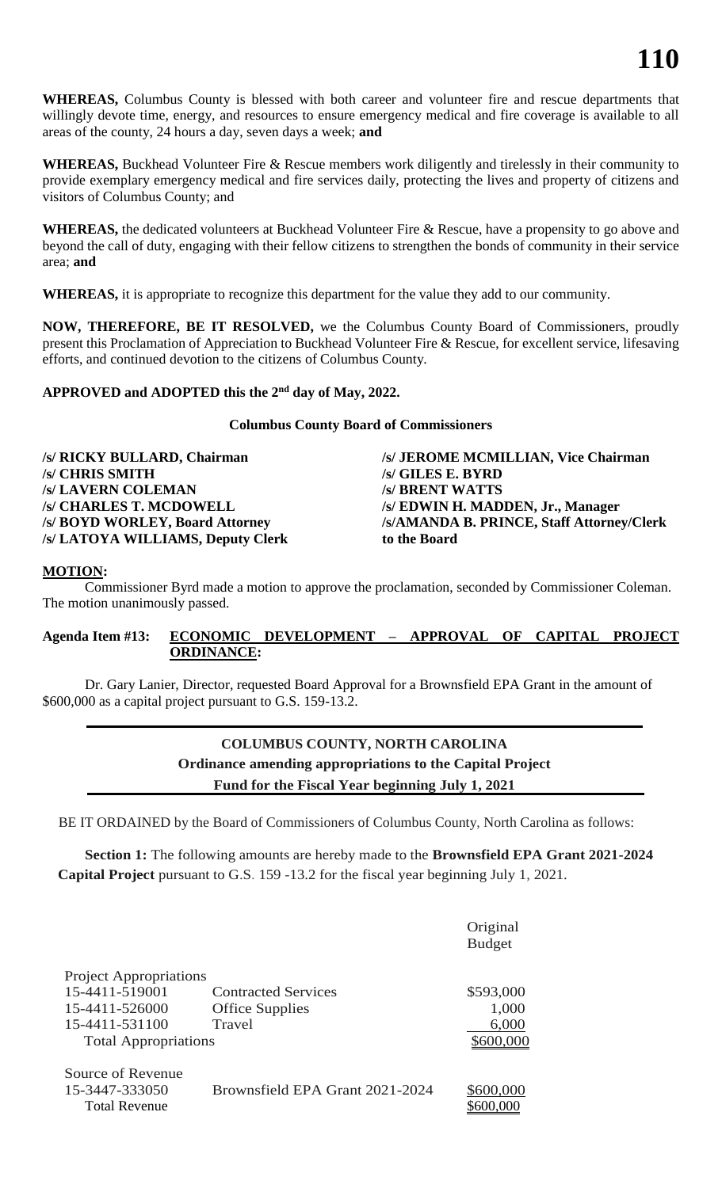**WHEREAS,** Columbus County is blessed with both career and volunteer fire and rescue departments that willingly devote time, energy, and resources to ensure emergency medical and fire coverage is available to all areas of the county, 24 hours a day, seven days a week; **and**

**WHEREAS,** Buckhead Volunteer Fire & Rescue members work diligently and tirelessly in their community to provide exemplary emergency medical and fire services daily, protecting the lives and property of citizens and visitors of Columbus County; and

**WHEREAS,** the dedicated volunteers at Buckhead Volunteer Fire & Rescue, have a propensity to go above and beyond the call of duty, engaging with their fellow citizens to strengthen the bonds of community in their service area; **and**

**WHEREAS,** it is appropriate to recognize this department for the value they add to our community.

**NOW, THEREFORE, BE IT RESOLVED,** we the Columbus County Board of Commissioners, proudly present this Proclamation of Appreciation to Buckhead Volunteer Fire & Rescue, for excellent service, lifesaving efforts, and continued devotion to the citizens of Columbus County.

#### **APPROVED and ADOPTED this the 2nd day of May, 2022.**

#### **Columbus County Board of Commissioners**

**/s/ CHRIS SMITH /s/ GILES E. BYRD /s/ LAVERN COLEMAN /s/ BRENT WATTS /s/ CHARLES T. MCDOWELL /s/ EDWIN H. MADDEN, Jr., Manager /s/ LATOYA WILLIAMS, Deputy Clerk to the Board** 

**/s/ RICKY BULLARD, Chairman /s/ JEROME MCMILLIAN, Vice Chairman /s/ BOYD WORLEY, Board Attorney /s/AMANDA B. PRINCE, Staff Attorney/Clerk**

#### **MOTION:**

Commissioner Byrd made a motion to approve the proclamation, seconded by Commissioner Coleman. The motion unanimously passed.

#### **Agenda Item #13: ECONOMIC DEVELOPMENT – APPROVAL OF CAPITAL PROJECT ORDINANCE:**

Dr. Gary Lanier, Director, requested Board Approval for a Brownsfield EPA Grant in the amount of \$600,000 as a capital project pursuant to G.S. 159-13.2.

### **COLUMBUS COUNTY, NORTH CAROLINA Ordinance amending appropriations to the Capital Project Fund for the Fiscal Year beginning July 1, 2021**

BE IT ORDAINED by the Board of Commissioners of Columbus County, North Carolina as follows:

**Section 1:** The following amounts are hereby made to the **Brownsfield EPA Grant 2021-2024 Capital Project** pursuant to G.S. 159 -13.2 for the fiscal year beginning July 1, 2021.

|                                     |                                 | Original<br><b>Budget</b> |
|-------------------------------------|---------------------------------|---------------------------|
| <b>Project Appropriations</b>       |                                 |                           |
| 15-4411-519001                      | <b>Contracted Services</b>      | \$593,000                 |
| 15-4411-526000                      | <b>Office Supplies</b>          | 1,000                     |
| 15-4411-531100                      | Travel                          | 6,000                     |
| <b>Total Appropriations</b>         |                                 |                           |
| Source of Revenue<br>15-3447-333050 | Brownsfield EPA Grant 2021-2024 | \$600,000                 |
| <b>Total Revenue</b>                |                                 |                           |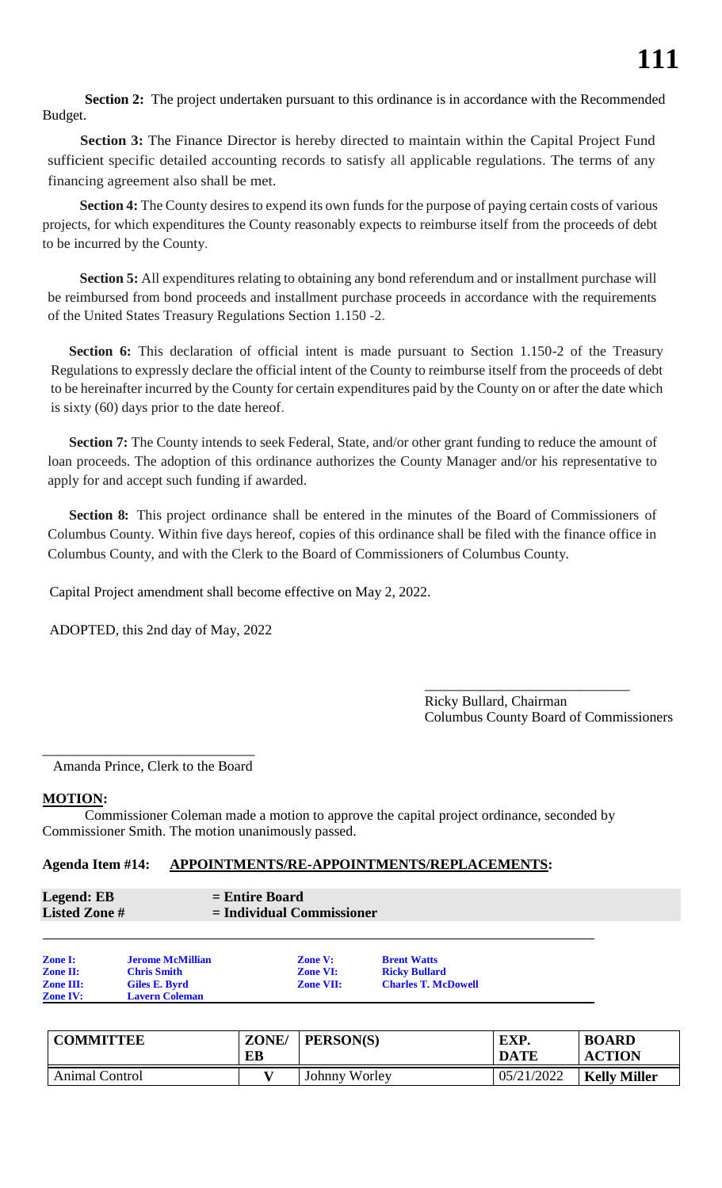**Section 2:** The project undertaken pursuant to this ordinance is in accordance with the Recommended Budget.

**Section 3:** The Finance Director is hereby directed to maintain within the Capital Project Fund sufficient specific detailed accounting records to satisfy all applicable regulations. The terms of any financing agreement also shall be met.

**Section 4:** The County desires to expend its own funds for the purpose of paying certain costs of various projects, for which expenditures the County reasonably expects to reimburse itself from the proceeds of debt to be incurred by the County.

 **Section 5:** All expenditures relating to obtaining any bond referendum and or installment purchase will be reimbursed from bond proceeds and installment purchase proceeds in accordance with the requirements of the United States Treasury Regulations Section 1.150 -2.

Section 6: This declaration of official intent is made pursuant to Section 1.150-2 of the Treasury Regulations to expressly declare the official intent of the County to reimburse itself from the proceeds of debt to be hereinafter incurred by the County for certain expenditures paid by the County on or after the date which is sixty (60) days prior to the date hereof.

**Section 7:** The County intends to seek Federal, State, and/or other grant funding to reduce the amount of loan proceeds. The adoption of this ordinance authorizes the County Manager and/or his representative to apply for and accept such funding if awarded.

**Section 8:** This project ordinance shall be entered in the minutes of the Board of Commissioners of Columbus County. Within five days hereof, copies of this ordinance shall be filed with the finance office in Columbus County, and with the Clerk to the Board of Commissioners of Columbus County.

Capital Project amendment shall become effective on May 2, 2022.

ADOPTED, this 2nd day of May, 2022

Ricky Bullard, Chairman Columbus County Board of Commissioners

\_\_\_\_\_\_\_\_\_\_\_\_\_\_\_\_\_\_\_\_\_\_\_\_\_\_\_\_\_

\_\_\_\_\_\_\_\_\_\_\_\_\_\_\_\_\_\_\_\_\_\_\_\_\_\_\_\_\_\_ Amanda Prince, Clerk to the Board

#### **MOTION:**

Commissioner Coleman made a motion to approve the capital project ordinance, seconded by Commissioner Smith. The motion unanimously passed.

#### **Agenda Item #14: APPOINTMENTS/RE-APPOINTMENTS/REPLACEMENTS:**

**Legend: EB**  $=$  **Entire Board Listed Zone # = Individual Commissioner**

| <b>Zone I:</b>   | <b>Jerome McMillian</b> | <b>Zone V:</b>   | <b>Brent Watts</b>         |
|------------------|-------------------------|------------------|----------------------------|
| <b>Zone II:</b>  | <b>Chris Smith</b>      | <b>Zone VI:</b>  | <b>Ricky Bullard</b>       |
| <b>Zone III:</b> | Giles E. Byrd           | <b>Zone VII:</b> | <b>Charles T. McDowell</b> |
| <b>Zone IV:</b>  | <b>Lavern Coleman</b>   |                  |                            |

| <b>COMMITTEE</b>      | ZONE/<br>EB | PERSON(S)     | EXP.<br><b>DATE</b> | <b>BOARD</b><br><b>ACTION</b> |
|-----------------------|-------------|---------------|---------------------|-------------------------------|
| <b>Animal Control</b> |             | Johnny Worley | 05/21/2022          | <b>Kelly Miller</b>           |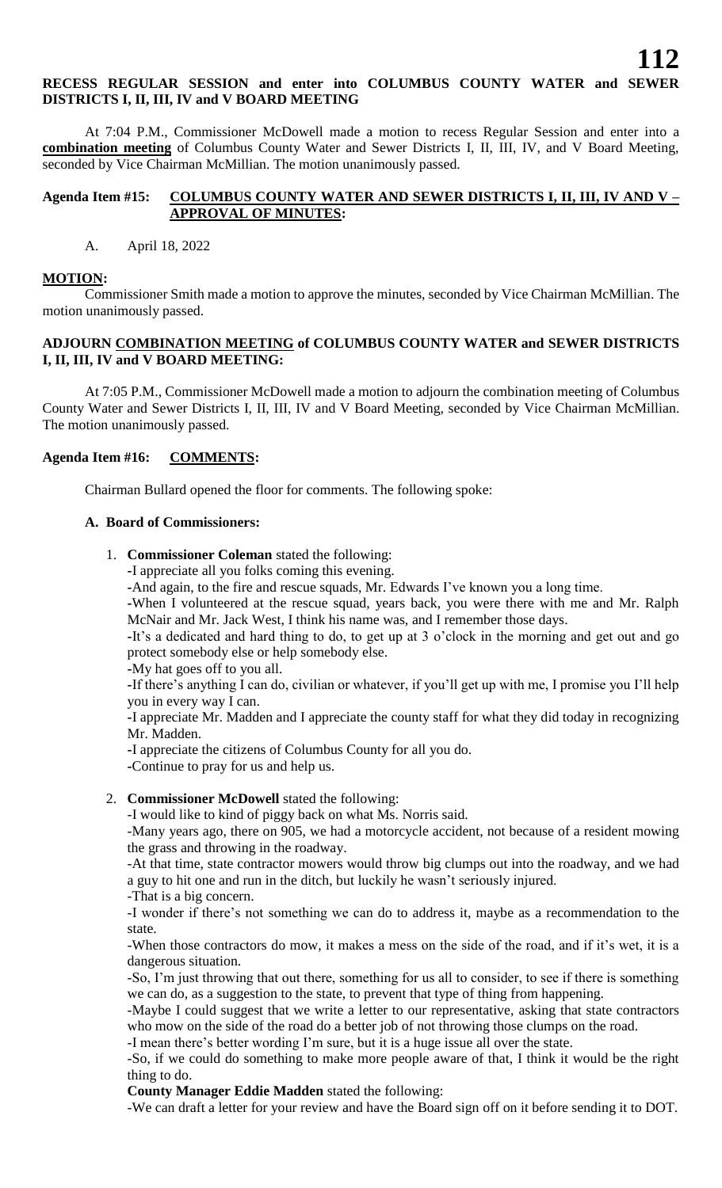#### **RECESS REGULAR SESSION and enter into COLUMBUS COUNTY WATER and SEWER DISTRICTS I, II, III, IV and V BOARD MEETING**

At 7:04 P.M., Commissioner McDowell made a motion to recess Regular Session and enter into a **combination meeting** of Columbus County Water and Sewer Districts I, II, III, IV, and V Board Meeting, seconded by Vice Chairman McMillian. The motion unanimously passed.

#### **Agenda Item #15: COLUMBUS COUNTY WATER AND SEWER DISTRICTS I, II, III, IV AND V – APPROVAL OF MINUTES:**

A. April 18, 2022

#### **MOTION:**

Commissioner Smith made a motion to approve the minutes, seconded by Vice Chairman McMillian. The motion unanimously passed.

#### **ADJOURN COMBINATION MEETING of COLUMBUS COUNTY WATER and SEWER DISTRICTS I, II, III, IV and V BOARD MEETING:**

At 7:05 P.M., Commissioner McDowell made a motion to adjourn the combination meeting of Columbus County Water and Sewer Districts I, II, III, IV and V Board Meeting, seconded by Vice Chairman McMillian. The motion unanimously passed.

#### **Agenda Item #16: COMMENTS:**

Chairman Bullard opened the floor for comments. The following spoke:

#### **A. Board of Commissioners:**

1. **Commissioner Coleman** stated the following:

**-**I appreciate all you folks coming this evening.

**-**And again, to the fire and rescue squads, Mr. Edwards I've known you a long time.

**-**When I volunteered at the rescue squad, years back, you were there with me and Mr. Ralph McNair and Mr. Jack West, I think his name was, and I remember those days.

**-**It's a dedicated and hard thing to do, to get up at 3 o'clock in the morning and get out and go protect somebody else or help somebody else.

**-**My hat goes off to you all.

**-**If there's anything I can do, civilian or whatever, if you'll get up with me, I promise you I'll help you in every way I can.

**-**I appreciate Mr. Madden and I appreciate the county staff for what they did today in recognizing Mr. Madden.

**-**I appreciate the citizens of Columbus County for all you do.

**-**Continue to pray for us and help us.

#### 2. **Commissioner McDowell** stated the following:

-I would like to kind of piggy back on what Ms. Norris said.

-Many years ago, there on 905, we had a motorcycle accident, not because of a resident mowing the grass and throwing in the roadway.

-At that time, state contractor mowers would throw big clumps out into the roadway, and we had a guy to hit one and run in the ditch, but luckily he wasn't seriously injured.

-That is a big concern.

-I wonder if there's not something we can do to address it, maybe as a recommendation to the state.

-When those contractors do mow, it makes a mess on the side of the road, and if it's wet, it is a dangerous situation.

-So, I'm just throwing that out there, something for us all to consider, to see if there is something we can do, as a suggestion to the state, to prevent that type of thing from happening.

-Maybe I could suggest that we write a letter to our representative, asking that state contractors who mow on the side of the road do a better job of not throwing those clumps on the road.

-I mean there's better wording I'm sure, but it is a huge issue all over the state.

-So, if we could do something to make more people aware of that, I think it would be the right thing to do.

**County Manager Eddie Madden** stated the following:

-We can draft a letter for your review and have the Board sign off on it before sending it to DOT.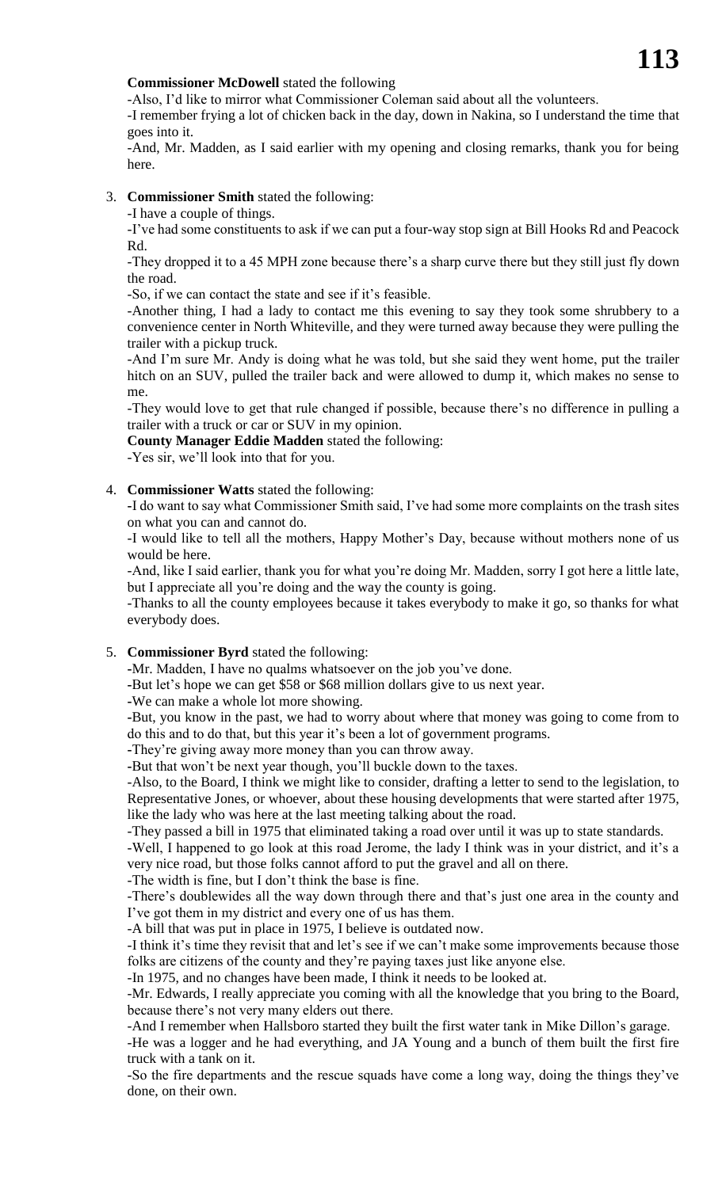#### **Commissioner McDowell** stated the following

-Also, I'd like to mirror what Commissioner Coleman said about all the volunteers.

-I remember frying a lot of chicken back in the day, down in Nakina, so I understand the time that goes into it.

-And, Mr. Madden, as I said earlier with my opening and closing remarks, thank you for being here.

#### 3. **Commissioner Smith** stated the following:

-I have a couple of things.

-I've had some constituents to ask if we can put a four-way stop sign at Bill Hooks Rd and Peacock Rd.

-They dropped it to a 45 MPH zone because there's a sharp curve there but they still just fly down the road.

-So, if we can contact the state and see if it's feasible.

-Another thing, I had a lady to contact me this evening to say they took some shrubbery to a convenience center in North Whiteville, and they were turned away because they were pulling the trailer with a pickup truck.

-And I'm sure Mr. Andy is doing what he was told, but she said they went home, put the trailer hitch on an SUV, pulled the trailer back and were allowed to dump it, which makes no sense to me.

-They would love to get that rule changed if possible, because there's no difference in pulling a trailer with a truck or car or SUV in my opinion.

**County Manager Eddie Madden** stated the following:

-Yes sir, we'll look into that for you.

#### 4. **Commissioner Watts** stated the following:

**-**I do want to say what Commissioner Smith said, I've had some more complaints on the trash sites on what you can and cannot do.

-I would like to tell all the mothers, Happy Mother's Day, because without mothers none of us would be here.

-And, like I said earlier, thank you for what you're doing Mr. Madden, sorry I got here a little late, but I appreciate all you're doing and the way the county is going.

-Thanks to all the county employees because it takes everybody to make it go, so thanks for what everybody does.

5. **Commissioner Byrd** stated the following:

**-**Mr. Madden, I have no qualms whatsoever on the job you've done.

**-**But let's hope we can get \$58 or \$68 million dollars give to us next year.

**-**We can make a whole lot more showing.

**-**But, you know in the past, we had to worry about where that money was going to come from to do this and to do that, but this year it's been a lot of government programs.

**-**They're giving away more money than you can throw away.

**-**But that won't be next year though, you'll buckle down to the taxes.

-Also, to the Board, I think we might like to consider, drafting a letter to send to the legislation, to Representative Jones, or whoever, about these housing developments that were started after 1975, like the lady who was here at the last meeting talking about the road.

-They passed a bill in 1975 that eliminated taking a road over until it was up to state standards.

-Well, I happened to go look at this road Jerome, the lady I think was in your district, and it's a very nice road, but those folks cannot afford to put the gravel and all on there.

-The width is fine, but I don't think the base is fine.

-There's doublewides all the way down through there and that's just one area in the county and I've got them in my district and every one of us has them.

-A bill that was put in place in 1975, I believe is outdated now.

-I think it's time they revisit that and let's see if we can't make some improvements because those folks are citizens of the county and they're paying taxes just like anyone else.

-In 1975, and no changes have been made, I think it needs to be looked at.

-Mr. Edwards, I really appreciate you coming with all the knowledge that you bring to the Board, because there's not very many elders out there.

-And I remember when Hallsboro started they built the first water tank in Mike Dillon's garage.

-He was a logger and he had everything, and JA Young and a bunch of them built the first fire truck with a tank on it.

-So the fire departments and the rescue squads have come a long way, doing the things they've done, on their own.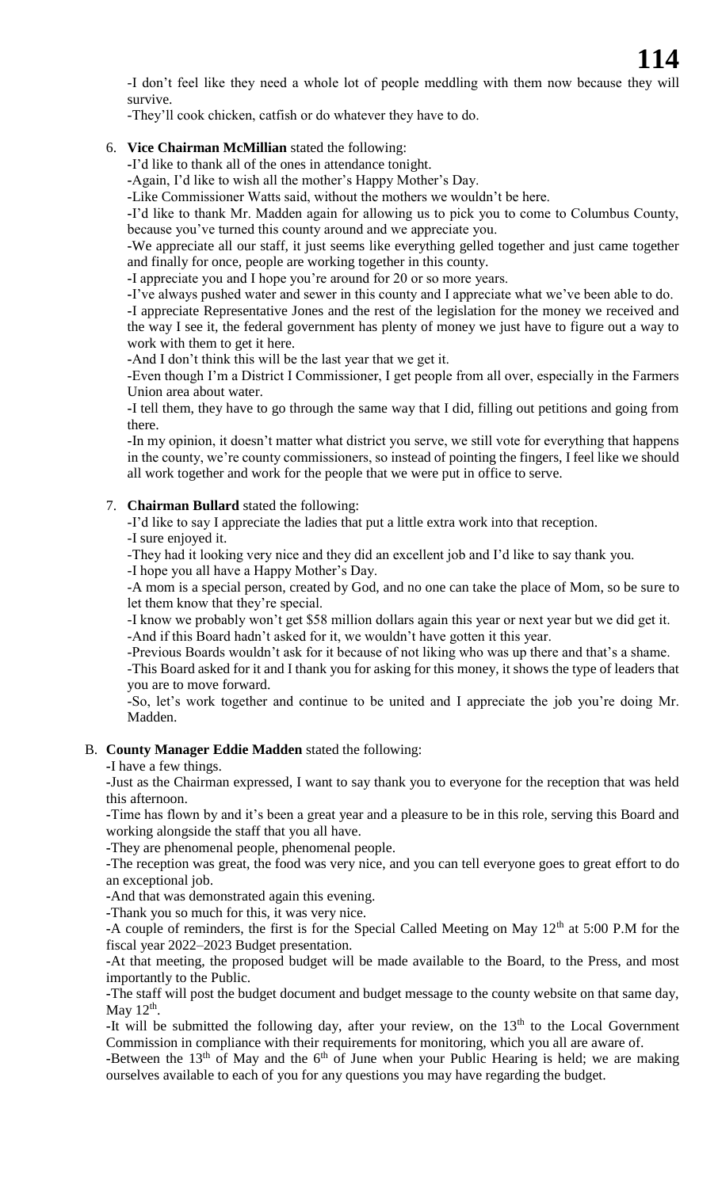-I don't feel like they need a whole lot of people meddling with them now because they will survive.

-They'll cook chicken, catfish or do whatever they have to do.

#### 6. **Vice Chairman McMillian** stated the following:

**-**I'd like to thank all of the ones in attendance tonight.

**-**Again, I'd like to wish all the mother's Happy Mother's Day.

**-**Like Commissioner Watts said, without the mothers we wouldn't be here.

**-**I'd like to thank Mr. Madden again for allowing us to pick you to come to Columbus County, because you've turned this county around and we appreciate you.

**-**We appreciate all our staff, it just seems like everything gelled together and just came together and finally for once, people are working together in this county.

**-**I appreciate you and I hope you're around for 20 or so more years.

**-**I've always pushed water and sewer in this county and I appreciate what we've been able to do.

**-**I appreciate Representative Jones and the rest of the legislation for the money we received and the way I see it, the federal government has plenty of money we just have to figure out a way to work with them to get it here.

**-**And I don't think this will be the last year that we get it.

**-**Even though I'm a District I Commissioner, I get people from all over, especially in the Farmers Union area about water.

**-**I tell them, they have to go through the same way that I did, filling out petitions and going from there.

**-**In my opinion, it doesn't matter what district you serve, we still vote for everything that happens in the county, we're county commissioners, so instead of pointing the fingers, I feel like we should all work together and work for the people that we were put in office to serve.

#### 7. **Chairman Bullard** stated the following:

-I'd like to say I appreciate the ladies that put a little extra work into that reception.

-I sure enjoyed it.

-They had it looking very nice and they did an excellent job and I'd like to say thank you.

-I hope you all have a Happy Mother's Day.

-A mom is a special person, created by God, and no one can take the place of Mom, so be sure to let them know that they're special.

-I know we probably won't get \$58 million dollars again this year or next year but we did get it. -And if this Board hadn't asked for it, we wouldn't have gotten it this year.

-Previous Boards wouldn't ask for it because of not liking who was up there and that's a shame.

-This Board asked for it and I thank you for asking for this money, it shows the type of leaders that you are to move forward.

-So, let's work together and continue to be united and I appreciate the job you're doing Mr. Madden.

#### B. **County Manager Eddie Madden** stated the following:

**-**I have a few things.

**-**Just as the Chairman expressed, I want to say thank you to everyone for the reception that was held this afternoon.

**-**Time has flown by and it's been a great year and a pleasure to be in this role, serving this Board and working alongside the staff that you all have.

**-**They are phenomenal people, phenomenal people.

**-**The reception was great, the food was very nice, and you can tell everyone goes to great effort to do an exceptional job.

**-**And that was demonstrated again this evening.

**-**Thank you so much for this, it was very nice.

-A couple of reminders, the first is for the Special Called Meeting on May 12<sup>th</sup> at 5:00 P.M for the fiscal year 2022–2023 Budget presentation.

**-**At that meeting, the proposed budget will be made available to the Board, to the Press, and most importantly to the Public.

**-**The staff will post the budget document and budget message to the county website on that same day, May  $12^{\text{th}}$ .

**-**It will be submitted the following day, after your review, on the 13th to the Local Government Commission in compliance with their requirements for monitoring, which you all are aware of.

-Between the 13<sup>th</sup> of May and the 6<sup>th</sup> of June when your Public Hearing is held; we are making ourselves available to each of you for any questions you may have regarding the budget.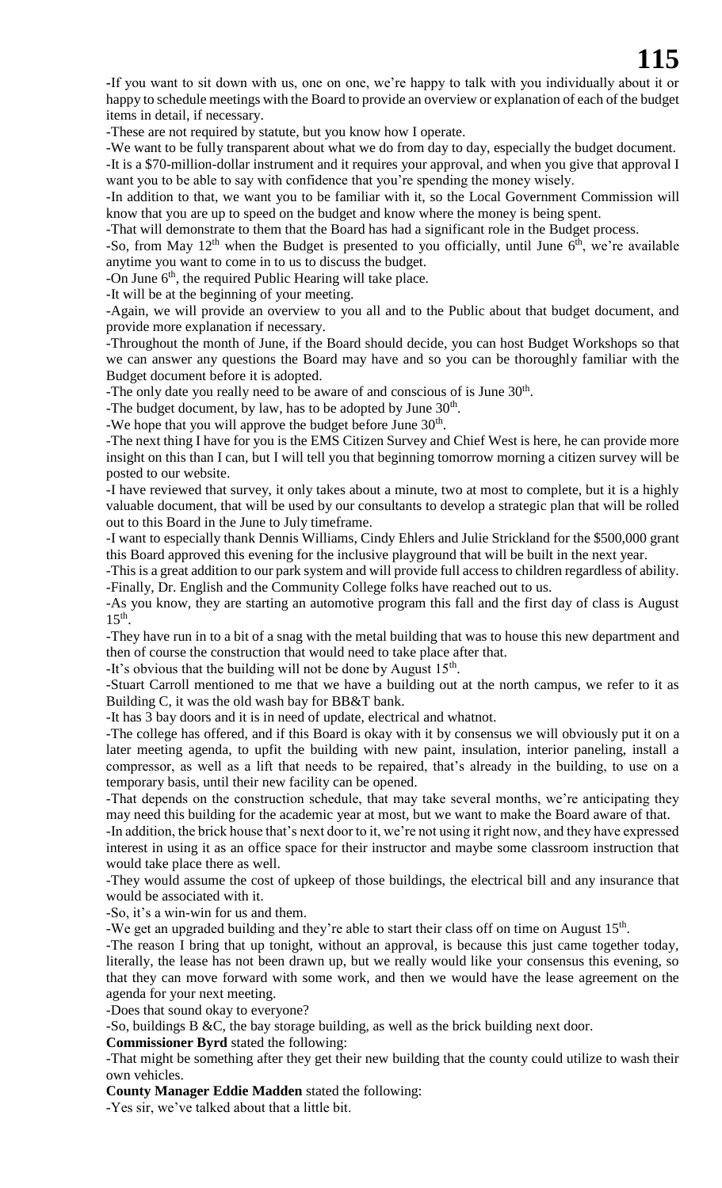**-**If you want to sit down with us, one on one, we're happy to talk with you individually about it or happy to schedule meetings with the Board to provide an overview or explanation of each of the budget items in detail, if necessary.

-These are not required by statute, but you know how I operate.

-We want to be fully transparent about what we do from day to day, especially the budget document. -It is a \$70-million-dollar instrument and it requires your approval, and when you give that approval I want you to be able to say with confidence that you're spending the money wisely.

-In addition to that, we want you to be familiar with it, so the Local Government Commission will know that you are up to speed on the budget and know where the money is being spent.

-That will demonstrate to them that the Board has had a significant role in the Budget process.

-So, from May  $12<sup>th</sup>$  when the Budget is presented to you officially, until June  $6<sup>th</sup>$ , we're available anytime you want to come in to us to discuss the budget.

-On June 6<sup>th</sup>, the required Public Hearing will take place.

-It will be at the beginning of your meeting.

-Again, we will provide an overview to you all and to the Public about that budget document, and provide more explanation if necessary.

-Throughout the month of June, if the Board should decide, you can host Budget Workshops so that we can answer any questions the Board may have and so you can be thoroughly familiar with the Budget document before it is adopted.

-The only date you really need to be aware of and conscious of is June  $30<sup>th</sup>$ .

-The budget document, by law, has to be adopted by June  $30<sup>th</sup>$ .

-We hope that you will approve the budget before June  $30<sup>th</sup>$ .

-The next thing I have for you is the EMS Citizen Survey and Chief West is here, he can provide more insight on this than I can, but I will tell you that beginning tomorrow morning a citizen survey will be posted to our website.

-I have reviewed that survey, it only takes about a minute, two at most to complete, but it is a highly valuable document, that will be used by our consultants to develop a strategic plan that will be rolled out to this Board in the June to July timeframe.

-I want to especially thank Dennis Williams, Cindy Ehlers and Julie Strickland for the \$500,000 grant this Board approved this evening for the inclusive playground that will be built in the next year.

-This is a great addition to our park system and will provide full access to children regardless of ability. -Finally, Dr. English and the Community College folks have reached out to us.

-As you know, they are starting an automotive program this fall and the first day of class is August  $15<sup>th</sup>$ .

-They have run in to a bit of a snag with the metal building that was to house this new department and then of course the construction that would need to take place after that.

-It's obvious that the building will not be done by August 15<sup>th</sup>.

-Stuart Carroll mentioned to me that we have a building out at the north campus, we refer to it as Building C, it was the old wash bay for BB&T bank.

-It has 3 bay doors and it is in need of update, electrical and whatnot.

-The college has offered, and if this Board is okay with it by consensus we will obviously put it on a later meeting agenda, to upfit the building with new paint, insulation, interior paneling, install a compressor, as well as a lift that needs to be repaired, that's already in the building, to use on a temporary basis, until their new facility can be opened.

-That depends on the construction schedule, that may take several months, we're anticipating they may need this building for the academic year at most, but we want to make the Board aware of that.

-In addition, the brick house that's next door to it, we're not using it right now, and they have expressed interest in using it as an office space for their instructor and maybe some classroom instruction that would take place there as well.

-They would assume the cost of upkeep of those buildings, the electrical bill and any insurance that would be associated with it.

-So, it's a win-win for us and them.

-We get an upgraded building and they're able to start their class off on time on August 15<sup>th</sup>.

-The reason I bring that up tonight, without an approval, is because this just came together today, literally, the lease has not been drawn up, but we really would like your consensus this evening, so that they can move forward with some work, and then we would have the lease agreement on the agenda for your next meeting.

-Does that sound okay to everyone?

-So, buildings B &C, the bay storage building, as well as the brick building next door.

**Commissioner Byrd** stated the following:

-That might be something after they get their new building that the county could utilize to wash their own vehicles.

**County Manager Eddie Madden** stated the following:

-Yes sir, we've talked about that a little bit.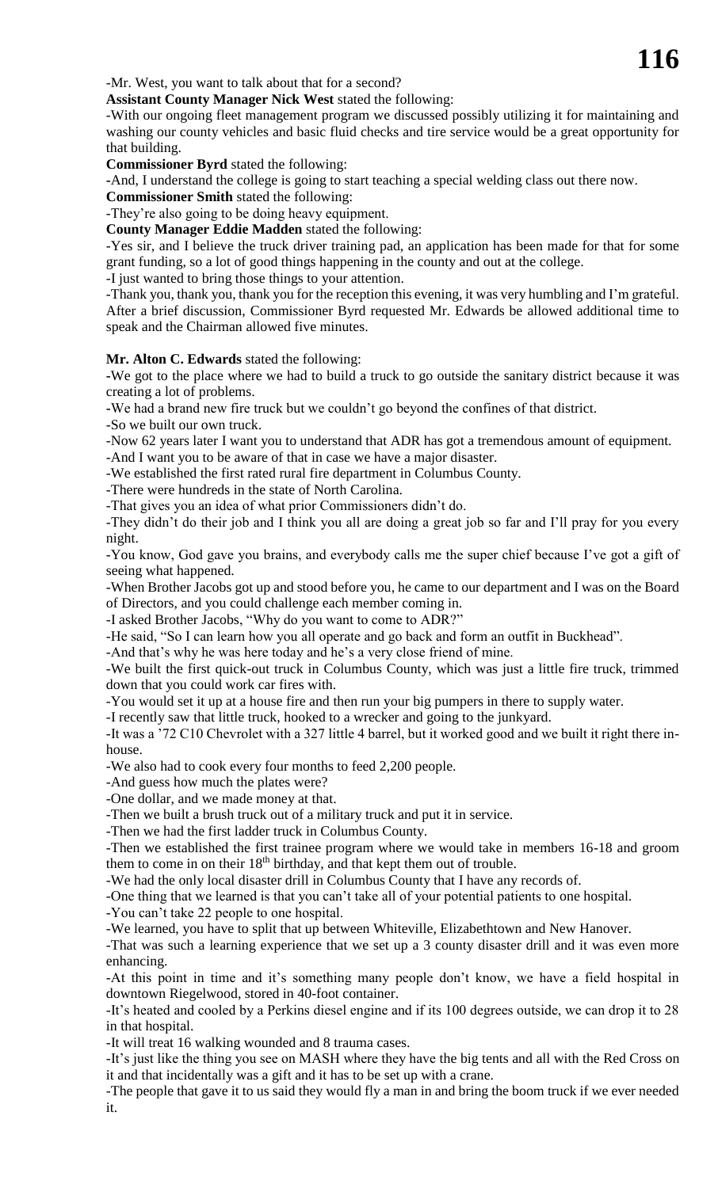### **116**

-Mr. West, you want to talk about that for a second?

**Assistant County Manager Nick West** stated the following:

-With our ongoing fleet management program we discussed possibly utilizing it for maintaining and washing our county vehicles and basic fluid checks and tire service would be a great opportunity for that building.

**Commissioner Byrd** stated the following:

**-**And, I understand the college is going to start teaching a special welding class out there now.

**Commissioner Smith** stated the following:

-They're also going to be doing heavy equipment.

**County Manager Eddie Madden** stated the following:

-Yes sir, and I believe the truck driver training pad, an application has been made for that for some grant funding, so a lot of good things happening in the county and out at the college.

-I just wanted to bring those things to your attention.

-Thank you, thank you, thank you for the reception this evening, it was very humbling and I'm grateful. After a brief discussion, Commissioner Byrd requested Mr. Edwards be allowed additional time to speak and the Chairman allowed five minutes.

#### **Mr. Alton C. Edwards** stated the following:

**-**We got to the place where we had to build a truck to go outside the sanitary district because it was creating a lot of problems.

**-**We had a brand new fire truck but we couldn't go beyond the confines of that district.

-So we built our own truck.

-Now 62 years later I want you to understand that ADR has got a tremendous amount of equipment. -And I want you to be aware of that in case we have a major disaster.

-We established the first rated rural fire department in Columbus County.

-There were hundreds in the state of North Carolina.

-That gives you an idea of what prior Commissioners didn't do.

-They didn't do their job and I think you all are doing a great job so far and I'll pray for you every night.

-You know, God gave you brains, and everybody calls me the super chief because I've got a gift of seeing what happened.

-When Brother Jacobs got up and stood before you, he came to our department and I was on the Board of Directors, and you could challenge each member coming in.

-I asked Brother Jacobs, "Why do you want to come to ADR?"

-He said, "So I can learn how you all operate and go back and form an outfit in Buckhead".

-And that's why he was here today and he's a very close friend of mine.

-We built the first quick-out truck in Columbus County, which was just a little fire truck, trimmed down that you could work car fires with.

-You would set it up at a house fire and then run your big pumpers in there to supply water.

-I recently saw that little truck, hooked to a wrecker and going to the junkyard.

-It was a '72 C10 Chevrolet with a 327 little 4 barrel, but it worked good and we built it right there inhouse.

-We also had to cook every four months to feed 2,200 people.

-And guess how much the plates were?

-One dollar, and we made money at that.

-Then we built a brush truck out of a military truck and put it in service.

-Then we had the first ladder truck in Columbus County.

-Then we established the first trainee program where we would take in members 16-18 and groom them to come in on their  $18<sup>th</sup>$  birthday, and that kept them out of trouble.

-We had the only local disaster drill in Columbus County that I have any records of.

-One thing that we learned is that you can't take all of your potential patients to one hospital.

-You can't take 22 people to one hospital.

-We learned, you have to split that up between Whiteville, Elizabethtown and New Hanover.

-That was such a learning experience that we set up a 3 county disaster drill and it was even more enhancing.

-At this point in time and it's something many people don't know, we have a field hospital in downtown Riegelwood, stored in 40-foot container.

-It's heated and cooled by a Perkins diesel engine and if its 100 degrees outside, we can drop it to 28 in that hospital.

-It will treat 16 walking wounded and 8 trauma cases.

-It's just like the thing you see on MASH where they have the big tents and all with the Red Cross on it and that incidentally was a gift and it has to be set up with a crane.

-The people that gave it to us said they would fly a man in and bring the boom truck if we ever needed it.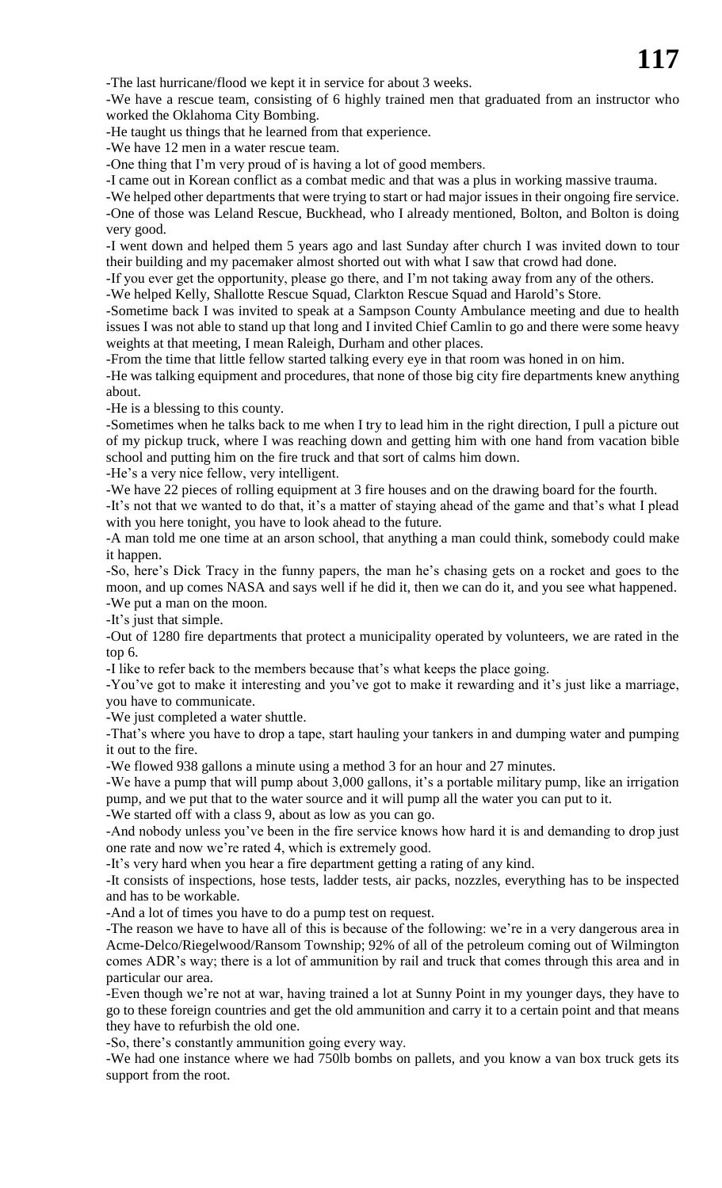-The last hurricane/flood we kept it in service for about 3 weeks.

-We have a rescue team, consisting of 6 highly trained men that graduated from an instructor who worked the Oklahoma City Bombing.

-He taught us things that he learned from that experience.

-We have 12 men in a water rescue team.

-One thing that I'm very proud of is having a lot of good members.

-I came out in Korean conflict as a combat medic and that was a plus in working massive trauma.

-We helped other departments that were trying to start or had major issues in their ongoing fire service.

-One of those was Leland Rescue, Buckhead, who I already mentioned, Bolton, and Bolton is doing very good.

-I went down and helped them 5 years ago and last Sunday after church I was invited down to tour their building and my pacemaker almost shorted out with what I saw that crowd had done.

-If you ever get the opportunity, please go there, and I'm not taking away from any of the others.

-We helped Kelly, Shallotte Rescue Squad, Clarkton Rescue Squad and Harold's Store.

-Sometime back I was invited to speak at a Sampson County Ambulance meeting and due to health issues I was not able to stand up that long and I invited Chief Camlin to go and there were some heavy weights at that meeting, I mean Raleigh, Durham and other places.

-From the time that little fellow started talking every eye in that room was honed in on him.

-He was talking equipment and procedures, that none of those big city fire departments knew anything about.

-He is a blessing to this county.

-Sometimes when he talks back to me when I try to lead him in the right direction, I pull a picture out of my pickup truck, where I was reaching down and getting him with one hand from vacation bible school and putting him on the fire truck and that sort of calms him down.

-He's a very nice fellow, very intelligent.

-We have 22 pieces of rolling equipment at 3 fire houses and on the drawing board for the fourth.

-It's not that we wanted to do that, it's a matter of staying ahead of the game and that's what I plead with you here tonight, you have to look ahead to the future.

-A man told me one time at an arson school, that anything a man could think, somebody could make it happen.

-So, here's Dick Tracy in the funny papers, the man he's chasing gets on a rocket and goes to the moon, and up comes NASA and says well if he did it, then we can do it, and you see what happened. -We put a man on the moon.

-It's just that simple.

-Out of 1280 fire departments that protect a municipality operated by volunteers, we are rated in the top 6.

-I like to refer back to the members because that's what keeps the place going.

-You've got to make it interesting and you've got to make it rewarding and it's just like a marriage, you have to communicate.

-We just completed a water shuttle.

-That's where you have to drop a tape, start hauling your tankers in and dumping water and pumping it out to the fire.

-We flowed 938 gallons a minute using a method 3 for an hour and 27 minutes.

-We have a pump that will pump about 3,000 gallons, it's a portable military pump, like an irrigation pump, and we put that to the water source and it will pump all the water you can put to it.

-We started off with a class 9, about as low as you can go.

-And nobody unless you've been in the fire service knows how hard it is and demanding to drop just one rate and now we're rated 4, which is extremely good.

-It's very hard when you hear a fire department getting a rating of any kind.

-It consists of inspections, hose tests, ladder tests, air packs, nozzles, everything has to be inspected and has to be workable.

-And a lot of times you have to do a pump test on request.

-The reason we have to have all of this is because of the following: we're in a very dangerous area in Acme-Delco/Riegelwood/Ransom Township; 92% of all of the petroleum coming out of Wilmington comes ADR's way; there is a lot of ammunition by rail and truck that comes through this area and in particular our area.

-Even though we're not at war, having trained a lot at Sunny Point in my younger days, they have to go to these foreign countries and get the old ammunition and carry it to a certain point and that means they have to refurbish the old one.

-So, there's constantly ammunition going every way.

-We had one instance where we had 750lb bombs on pallets, and you know a van box truck gets its support from the root.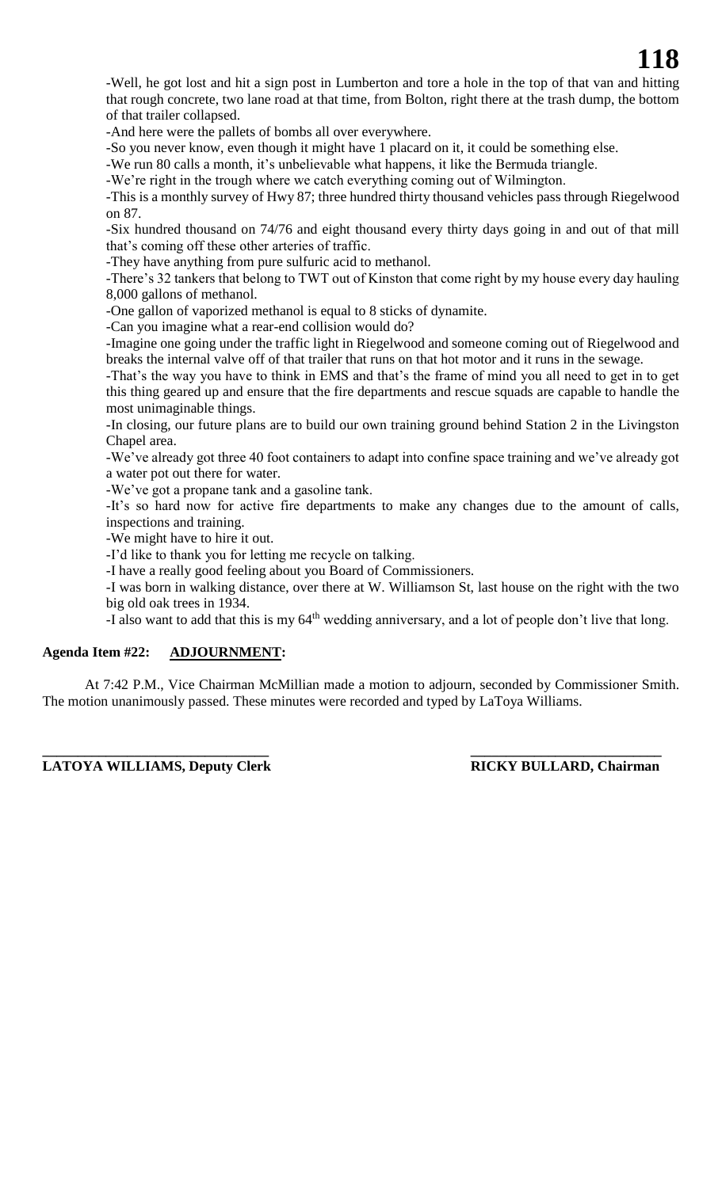-Well, he got lost and hit a sign post in Lumberton and tore a hole in the top of that van and hitting that rough concrete, two lane road at that time, from Bolton, right there at the trash dump, the bottom of that trailer collapsed.

-And here were the pallets of bombs all over everywhere.

-So you never know, even though it might have 1 placard on it, it could be something else.

-We run 80 calls a month, it's unbelievable what happens, it like the Bermuda triangle.

-We're right in the trough where we catch everything coming out of Wilmington.

-This is a monthly survey of Hwy 87; three hundred thirty thousand vehicles pass through Riegelwood on 87.

-Six hundred thousand on 74/76 and eight thousand every thirty days going in and out of that mill that's coming off these other arteries of traffic.

-They have anything from pure sulfuric acid to methanol.

-There's 32 tankers that belong to TWT out of Kinston that come right by my house every day hauling 8,000 gallons of methanol.

-One gallon of vaporized methanol is equal to 8 sticks of dynamite.

-Can you imagine what a rear-end collision would do?

-Imagine one going under the traffic light in Riegelwood and someone coming out of Riegelwood and breaks the internal valve off of that trailer that runs on that hot motor and it runs in the sewage.

-That's the way you have to think in EMS and that's the frame of mind you all need to get in to get this thing geared up and ensure that the fire departments and rescue squads are capable to handle the most unimaginable things.

-In closing, our future plans are to build our own training ground behind Station 2 in the Livingston Chapel area.

-We've already got three 40 foot containers to adapt into confine space training and we've already got a water pot out there for water.

-We've got a propane tank and a gasoline tank.

-It's so hard now for active fire departments to make any changes due to the amount of calls, inspections and training.

-We might have to hire it out.

-I'd like to thank you for letting me recycle on talking.

-I have a really good feeling about you Board of Commissioners.

-I was born in walking distance, over there at W. Williamson St, last house on the right with the two big old oak trees in 1934.

-I also want to add that this is my 64<sup>th</sup> wedding anniversary, and a lot of people don't live that long.

#### **Agenda Item #22: ADJOURNMENT:**

At 7:42 P.M., Vice Chairman McMillian made a motion to adjourn, seconded by Commissioner Smith. The motion unanimously passed. These minutes were recorded and typed by LaToya Williams.

**\_\_\_\_\_\_\_\_\_\_\_\_\_\_\_\_\_\_\_\_\_\_\_\_\_\_\_\_\_\_\_\_ \_\_\_\_\_\_\_\_\_\_\_\_\_\_\_\_\_\_\_\_\_\_\_\_\_\_\_ LATOYA WILLIAMS, Deputy Clerk RICKY BULLARD, Chairman**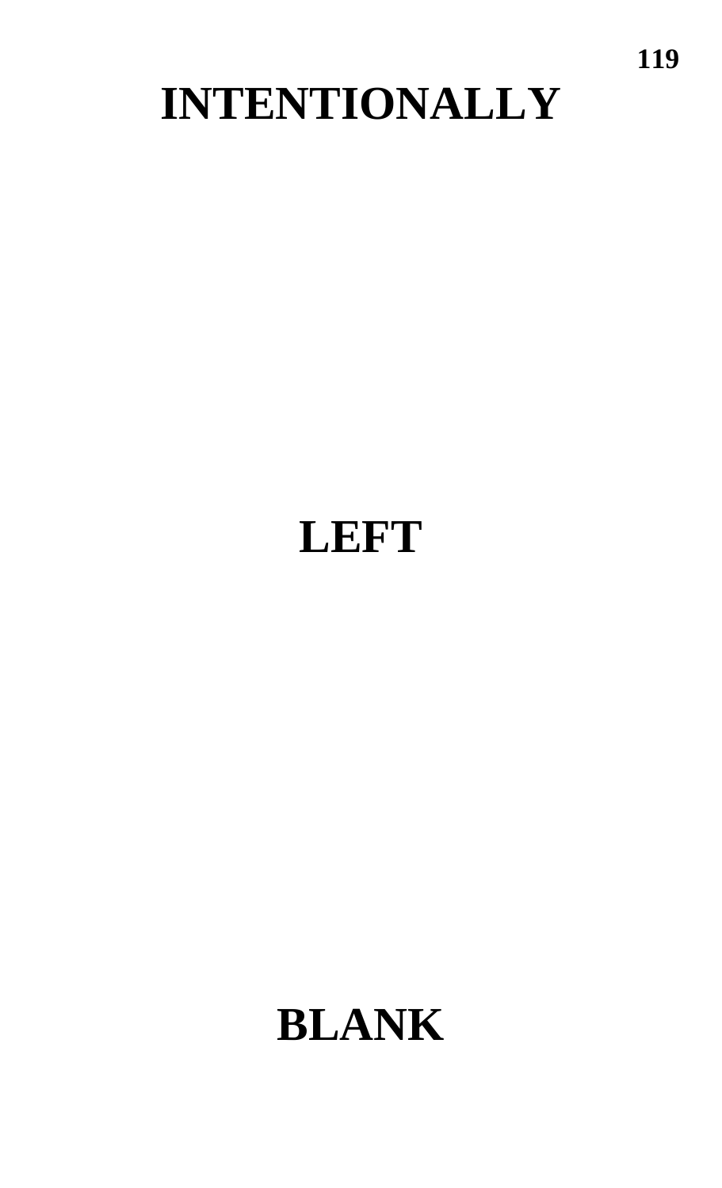# **INTENTIONALLY**

### **LEFT**

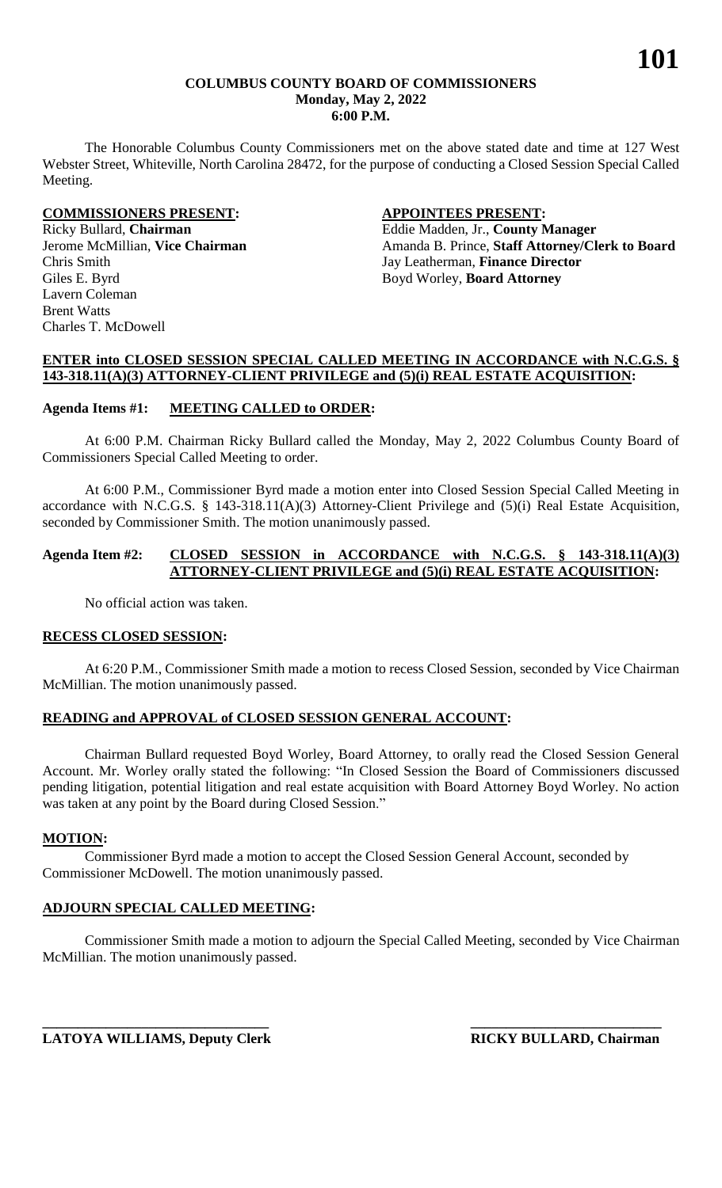#### **COLUMBUS COUNTY BOARD OF COMMISSIONERS Monday, May 2, 2022 6:00 P.M.**

The Honorable Columbus County Commissioners met on the above stated date and time at 127 West Webster Street, Whiteville, North Carolina 28472, for the purpose of conducting a Closed Session Special Called Meeting.

#### **COMMISSIONERS PRESENT: APPOINTEES PRESENT:**

Chris Smith Jay Leatherman, **Finance Director** Giles E. Byrd **Boyd Worley**, **Board Attorney** Lavern Coleman Brent Watts Charles T. McDowell

Ricky Bullard, **Chairman** Eddie Madden, Jr., **County Manager** Jerome McMillian, Vice Chairman Amanda B. Prince, Staff Attorney/Clerk to Board

#### **ENTER into CLOSED SESSION SPECIAL CALLED MEETING IN ACCORDANCE with N.C.G.S. § 143-318.11(A)(3) ATTORNEY-CLIENT PRIVILEGE and (5)(i) REAL ESTATE ACQUISITION:**

#### **Agenda Items #1: MEETING CALLED to ORDER:**

At 6:00 P.M. Chairman Ricky Bullard called the Monday, May 2, 2022 Columbus County Board of Commissioners Special Called Meeting to order.

At 6:00 P.M., Commissioner Byrd made a motion enter into Closed Session Special Called Meeting in accordance with N.C.G.S. § 143-318.11(A)(3) Attorney-Client Privilege and (5)(i) Real Estate Acquisition, seconded by Commissioner Smith. The motion unanimously passed.

#### **Agenda Item #2: CLOSED SESSION in ACCORDANCE with N.C.G.S. § 143-318.11(A)(3) ATTORNEY-CLIENT PRIVILEGE and (5)(i) REAL ESTATE ACQUISITION:**

No official action was taken.

#### **RECESS CLOSED SESSION:**

At 6:20 P.M., Commissioner Smith made a motion to recess Closed Session, seconded by Vice Chairman McMillian. The motion unanimously passed.

#### **READING and APPROVAL of CLOSED SESSION GENERAL ACCOUNT:**

Chairman Bullard requested Boyd Worley, Board Attorney, to orally read the Closed Session General Account. Mr. Worley orally stated the following: "In Closed Session the Board of Commissioners discussed pending litigation, potential litigation and real estate acquisition with Board Attorney Boyd Worley. No action was taken at any point by the Board during Closed Session."

#### **MOTION:**

Commissioner Byrd made a motion to accept the Closed Session General Account, seconded by Commissioner McDowell. The motion unanimously passed.

#### **ADJOURN SPECIAL CALLED MEETING:**

Commissioner Smith made a motion to adjourn the Special Called Meeting, seconded by Vice Chairman McMillian. The motion unanimously passed.

**\_\_\_\_\_\_\_\_\_\_\_\_\_\_\_\_\_\_\_\_\_\_\_\_\_\_\_\_\_\_\_\_ \_\_\_\_\_\_\_\_\_\_\_\_\_\_\_\_\_\_\_\_\_\_\_\_\_\_\_**

LATOYA WILLIAMS, Deputy Clerk RICKY BULLARD, Chairman